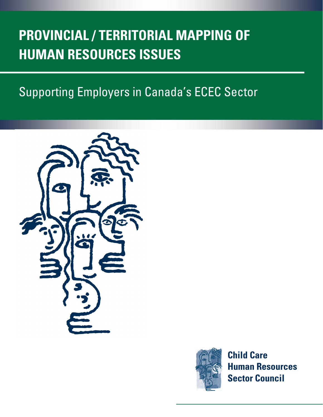## **PROVINCIAL / TERRITORIAL MAPPING OF HUMAN RESOURCES ISSUES**

## Supporting Employers in Canada's ECEC Sector





**Child Care Human Resources Sector Council**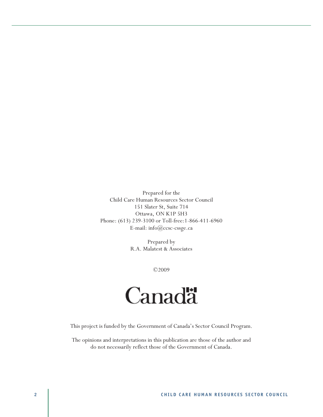Prepared for the Child Care Human Resources Sector Council 151 Slater St, Suite 714 Ottawa, ON K1P 5H3 Phone: (613) 239-3100 or Toll-free:1-866-411-6960 E-mail: info@ccsc-cssge.ca

> Prepared by R.A. Malatest & Associates

> > ©2009

# **Canada**

This project is funded by the Government of Canada's Sector Council Program.

The opinions and interpretations in this publication are those of the author and do not necessarily reflect those of the Government of Canada.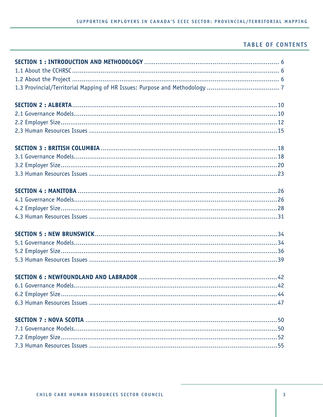## **TABLE OF CONTENTS**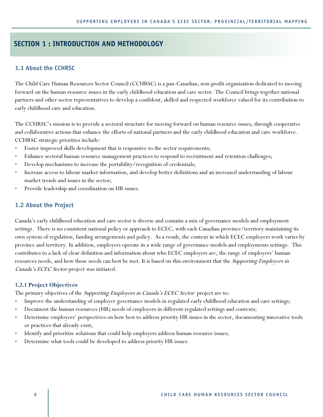## **SECTION 1 : INTRODUCTION AND METHODOLOGY**

## **1.1 About the CCHRSC**

The Child Care Human Resources Sector Council (CCHRSC) is a pan-Canadian, non-profit organization dedicated to moving forward on the human resource issues in the early childhood education and care sector. The Council brings together national partners and other sector representatives to develop a confident, skilled and respected workforce valued for its contribution to early childhood care and education.

The CCHRSC's mission is to provide a sectoral structure for moving forward on human resource issues, through cooperative and collaborative actions that enhance the efforts of national partners and the early childhood education and care workforce. CCHRSC strategic priorities include:

- Foster improved skills development that is responsive to the sector requirements;
- Enhance sectoral human resource management practices to respond to recruitment and retention challenges;
- Develop mechanisms to increase the portability/recognition of credentials;
- Increase access to labour market information, and develop better definitions and an increased understanding of labour market trends and issues in the sector;
- Provide leadership and coordination on HR issues.

## **1.2 About the Project**

Canada's early childhood education and care sector is diverse and contains a mix of governance models and employment settings. There is no consistent national policy or approach to ECEC, with each Canadian province/territory maintaining its own system of regulation, funding arrangements and policy. As a result, the context in which ECEC employers work varies by province and territory. In addition, employers operate in a wide range of governance models and employments settings. This contributes to a lack of clear definition and information about who ECEC employers are, the range of employers' human resources needs, and how those needs can best be met. It is based on this environment that the *Supporting Employers in* Canada's ECEC Sector project was initiated.

#### **1.2.1 Project Objectives**

The primary objectives of the *Supporting Employers in Canada's ECEC Sector* project are to:

- Improve the understanding of employer governance models in regulated early childhood education and care settings;
- Document the human resources (HR) needs of employers in different regulated settings and contexts;
- Determine employers' perspectives on how best to address priority HR issues in the sector, documenting innovative tools or practices that already exist;
- Identify and prioritize solutions that could help employers address human resource issues;
- Determine what tools could be developed to address priority HR issues.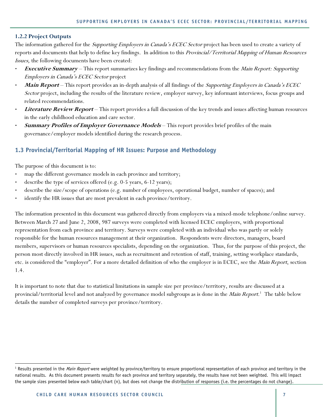## **1.2.2 Project Outputs**

The information gathered for the *Supporting Employers in Canada's ECEC Sector* project has been used to create a variety of reports and documents that help to define key findings. In addition to this Provincial/Territorial Mapping of Human Resources Issues, the following documents have been created:

- **Executive Summary** This report summarizes key findings and recommendations from the Main Report: Supporting Employers in Canada's ECEC Sector project
- **Main Report** This report provides an in-depth analysis of all findings of the Supporting Employers in Canada's ECEC Sector project, including the results of the literature review, employer survey, key informant interviews, focus groups and related recommendations.
- **Literature Review Report** This report provides a full discussion of the key trends and issues affecting human resources in the early childhood education and care sector.
- **Summary Profiles of Employer Governance Models** This report provides brief profiles of the main governance/employer models identified during the research process.

## **1.3 Provincial/Territorial Mapping of HR Issues: Purpose and Methodology**

The purpose of this document is to:

 $\overline{a}$ 

- map the different governance models in each province and territory;
- describe the type of services offered (e.g. 0-5 years, 6-12 years);
- describe the size/scope of operations (e.g. number of employees, operational budget, number of spaces); and
- identify the HR issues that are most prevalent in each province/territory.

The information presented in this document was gathered directly from employers via a mixed-mode telephone/online survey. Between March 27 and June 2, 2008, 987 surveys were completed with licensed ECEC employers, with proportional representation from each province and territory. Surveys were completed with an individual who was partly or solely responsible for the human resources management at their organization. Respondents were directors, managers, board members, supervisors or human resources specialists, depending on the organization. Thus, for the purpose of this project, the person most directly involved in HR issues, such as recruitment and retention of staff, training, setting workplace standards, etc. is considered the "employer". For a more detailed definition of who the employer is in ECEC, see the *Main Report*, section 1.4.

It is important to note that due to statistical limitations in sample size per province/territory, results are discussed at a provincial/territorial level and not analyzed by governance model subgroups as is done in the *Main Report*.<sup>1</sup> The table below details the number of completed surveys per province/territory.

<sup>&</sup>lt;sup>1</sup> Results presented in the *Main Report* were weighted by province/territory to ensure proportional representation of each province and territory in the national results. As this document presents results for each province and territory separately, the results have not been weighted. This will impact the sample sizes presented below each table/chart (n), but does not change the distribution of responses (i.e. the percentages do not change).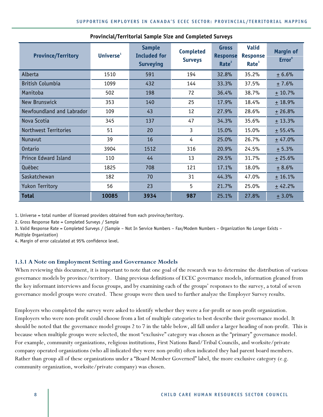| <b>Province/Territory</b>   | Universe $1$ | <b>Sample</b><br><b>Included for</b><br><b>Surveying</b> | <b>Completed</b><br><b>Surveys</b> | <b>Gross</b><br><b>Response</b><br>Rate <sup>2</sup> | <b>Valid</b><br><b>Response</b><br>Rate <sup>3</sup> | <b>Margin of</b><br>Error <sup>4</sup> |
|-----------------------------|--------------|----------------------------------------------------------|------------------------------------|------------------------------------------------------|------------------------------------------------------|----------------------------------------|
| Alberta                     | 1510         | 591                                                      | 194                                | 32.8%                                                | 35.2%                                                | ± 6.6%                                 |
| <b>British Columbia</b>     | 1099         | 432                                                      | 144                                | 33.3%                                                | 37.5%                                                | $+7.6%$                                |
| Manitoba                    | 502          | 198                                                      | 72                                 | 36.4%                                                | 38.7%                                                | $+10.7%$                               |
| New Brunswick               | 353          | 140                                                      | 25                                 | 17.9%                                                | 18.4%                                                | $+18.9%$                               |
| Newfoundland and Labrador   | 109          | 43                                                       | 12                                 | 27.9%                                                | 28.6%                                                | $+26.8%$                               |
| Nova Scotia                 | 345          | 137                                                      | 47                                 | 34.3%                                                | 35.6%                                                | $+13.3%$                               |
| Northwest Territories       | 51           | 20                                                       | 3                                  | 15.0%                                                | 15.0%                                                | $+55.4%$                               |
| Nunavut                     | 39           | 16                                                       | 4                                  | 25.0%                                                | 26.7%                                                | ± 47.0%                                |
| Ontario                     | 3904         | 1512                                                     | 316                                | 20.9%                                                | 24.5%                                                | ± 5.3%                                 |
| <b>Prince Edward Island</b> | 110          | 44                                                       | 13                                 | 29.5%                                                | 31.7%                                                | ± 25.6%                                |
| Québec                      | 1825         | 708                                                      | 121                                | 17.1%                                                | 18.0%                                                | $+8.6%$                                |
| Saskatchewan                | 182          | 70                                                       | 31                                 | 44.3%                                                | 47.0%                                                | $+16.1%$                               |
| <b>Yukon Territory</b>      | 56           | 23                                                       | 5                                  | 21.7%                                                | 25.0%                                                | ± 42.2%                                |
| <b>Total</b>                | 10085        | 3934                                                     | 987                                | 25.1%                                                | 27.8%                                                | $+3.0%$                                |

#### **Provincial/Territorial Sample Size and Completed Surveys**

1. Universe = total number of licensed providers obtained from each province/territory.

2. Gross Response Rate = Completed Surveys / Sample

3. Valid Response Rate = Completed Surveys / (Sample – Not In Service Numbers – Fax/Modem Numbers – Organization No Longer Exists – Multiple Organization)

4. Margin of error calculated at 95% confidence level.

#### **1.3.1 A Note on Employment Setting and Governance Models**

When reviewing this document, it is important to note that one goal of the research was to determine the distribution of various governance models by province/territory. Using previous definitions of ECEC governance models, information gleaned from the key informant interviews and focus groups, and by examining each of the groups' responses to the survey, a total of seven governance model groups were created. These groups were then used to further analyze the Employer Survey results.

Employers who completed the survey were asked to identify whether they were a for-profit or non-profit organization. Employers who were non-profit could choose from a list of multiple categories to best describe their governance model. It should be noted that the governance model groups 2 to 7 in the table below, all fall under a larger heading of non-profit. This is because when multiple groups were selected, the most "exclusive" category was chosen as the "primary" governance model. For example, community organizations, religious institutions, First Nations Band/Tribal Councils, and worksite/private company operated organizations (who all indicated they were non-profit) often indicated they had parent board members. Rather than group all of these organizations under a "Board Member Governed" label, the more exclusive category (e.g. community organization, worksite/private company) was chosen.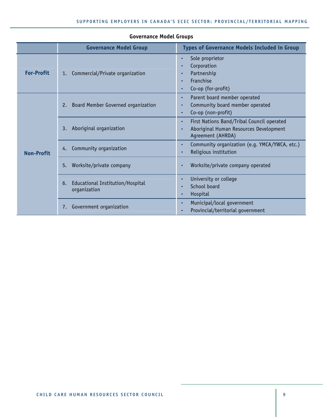|                   | <b>Governance Model Group</b>                          | <b>Types of Governance Models Included in Group</b>                                                            |
|-------------------|--------------------------------------------------------|----------------------------------------------------------------------------------------------------------------|
| <b>For-Profit</b> | Commercial/Private organization<br>1.                  | Sole proprietor<br>$\bullet$<br>Corporation<br>Partnership<br>Franchise<br>$\bullet$<br>Co-op (for-profit)     |
|                   | Board Member Governed organization<br>2.               | Parent board member operated<br>Community board member operated<br>Co-op (non-profit)                          |
| <b>Non-Profit</b> | Aboriginal organization<br>3.                          | First Nations Band/Tribal Council operated<br>٠<br>Aboriginal Human Resources Development<br>Agreement (AHRDA) |
|                   | Community organization<br>4.                           | Community organization (e.g. YMCA/YWCA, etc.)<br>٠<br>Religious institution                                    |
|                   | Worksite/private company<br>5.                         | Worksite/private company operated                                                                              |
|                   | Educational Institution/Hospital<br>6.<br>organization | University or college<br>$\bullet$<br>School board<br>Hospital                                                 |
|                   | Government organization<br>7.                          | Municipal/local government<br>$\bullet$<br>Provincial/territorial government                                   |

## **Governance Model Groups**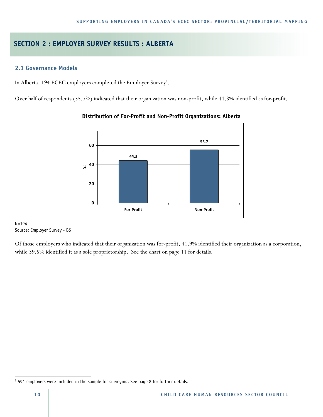## **SECTION 2 : EMPLOYER SURVEY RESULTS : ALBERTA**

## **2.1 Governance Models**

In Alberta, 194 ECEC employers completed the Employer Survey<sup>2</sup>.

Over half of respondents (55.7%) indicated that their organization was non-profit, while 44.3% identified as for-profit.



## **Distribution of For-Profit and Non-Profit Organizations: Alberta**

N=194 Source: Employer Survey - B5

Of those employers who indicated that their organization was for-profit, 41.9% identified their organization as a corporation, while 39.5% identified it as a sole proprietorship. See the chart on page 11 for details.

 $\overline{a}$ 

 $2$  591 employers were included in the sample for surveying. See page 8 for further details.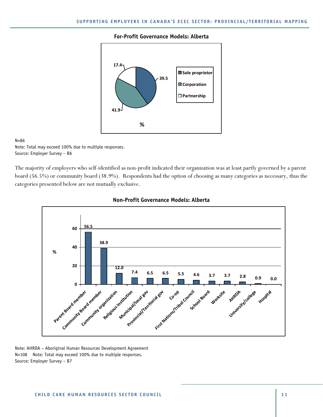#### **For-Profit Governance Models: Alberta**



#### N=86

Note: Total may exceed 100% due to multiple responses. Source: Employer Survey – B6

The majority of employers who self-identified as non-profit indicated their organization was at least partly governed by a parent board (56.5%) or community board (38.9%). Respondents had the option of choosing as many categories as necessary, thus the categories presented below are not mutually exclusive.





Note: AHRDA – Aboriginal Human Resources Development Agreement N=108 Note: Total may exceed 100% due to multiple responses. Source: Employer Survey – B7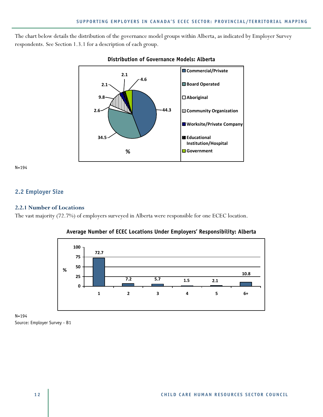The chart below details the distribution of the governance model groups within Alberta, as indicated by Employer Survey respondents. See Section 1.3.1 for a description of each group.



## **Distribution of Governance Models: Alberta**

N=194

## **2.2 Employer Size**

#### **2.2.1 Number of Locations**

The vast majority (72.7%) of employers surveyed in Alberta were responsible for one ECEC location.



#### **Average Number of ECEC Locations Under Employers' Responsibility: Alberta**

N=194 Source: Employer Survey - B1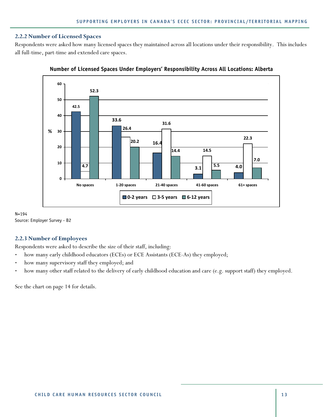#### **2.2.2 Number of Licensed Spaces**

Respondents were asked how many licensed spaces they maintained across all locations under their responsibility. This includes all full-time, part-time and extended care spaces.





N=194 Source: Employer Survey - B2

## **2.2.3 Number of Employees**

Respondents were asked to describe the size of their staff, including:

- how many early childhood educators (ECEs) or ECE Assistants (ECE-As) they employed;
- how many supervisory staff they employed; and
- how many other staff related to the delivery of early childhood education and care (e.g. support staff) they employed.

See the chart on page 14 for details.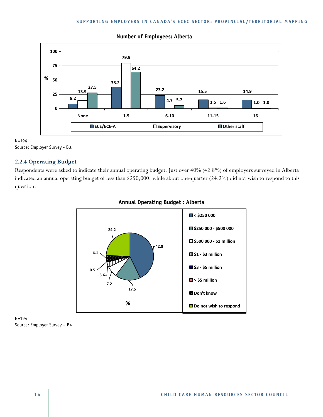

#### **Number of Employees: Alberta**

N=194 Source: Employer Survey - B3.

## **2.2.4 Operating Budget**

Respondents were asked to indicate their annual operating budget. Just over 40% (42.8%) of employers surveyed in Alberta indicated an annual operating budget of less than \$250,000, while about one-quarter (24.2%) did not wish to respond to this question.



## **Annual Operating Budget : Alberta**

N=194 Source: Employer Survey – B4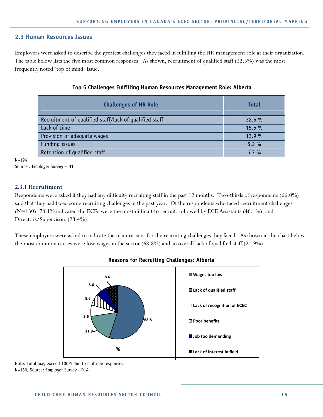#### **2.3 Human Resources Issues**

Employers were asked to describe the greatest challenges they faced in fulfilling the HR management role at their organization. The table below lists the five most common responses. As shown, recruitment of qualified staff (32.5%) was the most frequently noted "top of mind" issue.

| <b>Challenges of HR Role</b>                           | <b>Total</b> |
|--------------------------------------------------------|--------------|
| Recruitment of qualified staff/lack of qualified staff | 32.5%        |
| Lack of time                                           | 15.5%        |
| Provision of adequate wages                            | 13.9%        |
| Funding issues                                         | 6.2%         |
| Retention of qualified staff                           | $6.7 \%$     |

#### **Top 5 Challenges Fulfilling Human Resources Management Role: Alberta**

N=194

```
Source : Employer Survey – H1
```
#### **2.3.1 Recruitment**

Respondents were asked if they had any difficulty recruiting staff in the past 12 months. Two-thirds of respondents (66.0%) said that they had faced some recruiting challenges in the past year. Of the respondents who faced recruitment challenges (N=130), 78.1% indicated the ECEs were the most difficult to recruit, followed by ECE Assistants (46.1%), and Directors/Supervisors (23.4%).

These employers were asked to indicate the main reasons for the recruiting challenges they faced. As shown in the chart below, the most common causes were low wages in the sector (68.8%) and an overall lack of qualified staff (21.9%).



#### **Reasons for Recruiting Challenges: Alberta**

Note: Total may exceed 100% due to multiple responses. N=130, Source: Employer Survey - D14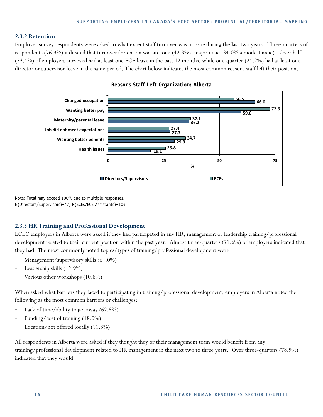#### **2.3.2 Retention**

Employer survey respondents were asked to what extent staff turnover was in issue during the last two years. Three-quarters of respondents (76.3%) indicated that turnover/retention was an issue (42.3% a major issue, 34.0% a modest issue). Over half (53.4%) of employers surveyed had at least one ECE leave in the past 12 months, while one-quarter (24.2%) had at least one director or supervisor leave in the same period. The chart below indicates the most common reasons staff left their position.



#### **Reasons Staff Left Organization: Alberta**

Note: Total may exceed 100% due to multiple responses. N(Directors/Supervisors)=47, N(ECEs/ECE Assistants)=104

#### **2.3.3 HR Training and Professional Development**

ECEC employers in Alberta were asked if they had participated in any HR, management or leadership training/professional development related to their current position within the past year. Almost three-quarters (71.6%) of employers indicated that they had. The most commonly noted topics/types of training/professional development were:

- Management/supervisory skills (64.0%)
- Leadership skills (12.9%)
- Various other workshops (10.8%)

When asked what barriers they faced to participating in training/professional development, employers in Alberta noted the following as the most common barriers or challenges:

- Lack of time/ability to get away (62.9%)
- Funding/cost of training (18.0%)
- Location/not offered locally (11.3%)

All respondents in Alberta were asked if they thought they or their management team would benefit from any training/professional development related to HR management in the next two to three years. Over three-quarters (78.9%) indicated that they would.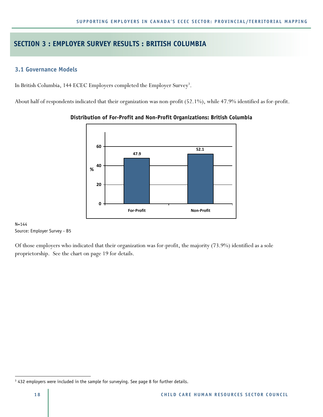## **SECTION 3 : EMPLOYER SURVEY RESULTS : BRITISH COLUMBIA**

## **3.1 Governance Models**

In British Columbia, 144 ECEC Employers completed the Employer Survey<sup>3</sup>.

About half of respondents indicated that their organization was non-profit (52.1%), while 47.9% identified as for-profit.



#### **Distribution of For-Profit and Non-Profit Organizations: British Columbia**

N=144 Source: Employer Survey - B5

Of those employers who indicated that their organization was for-profit, the majority (73.9%) identified as a sole proprietorship. See the chart on page 19 for details.

 $\overline{a}$ 

<sup>&</sup>lt;sup>3</sup> 432 employers were included in the sample for surveying. See page 8 for further details.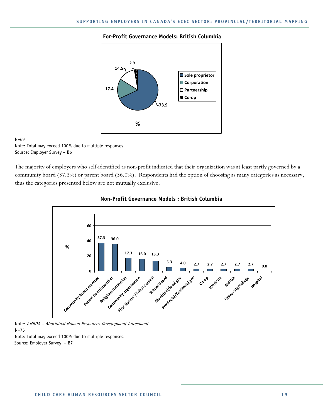#### **For-Profit Governance Models: British Columbia**



#### N=69

Note: Total may exceed 100% due to multiple responses. Source: Employer Survey – B6

The majority of employers who self-identified as non-profit indicated that their organization was at least partly governed by a community board (37.3%) or parent board (36.0%). Respondents had the option of choosing as many categories as necessary, thus the categories presented below are not mutually exclusive.



#### **Non-Profit Governance Models : British Columbia**

Note: AHRDA – Aboriginal Human Resources Development Agreement  $N=75$ Note: Total may exceed 100% due to multiple responses.

Source: Employer Survey – B7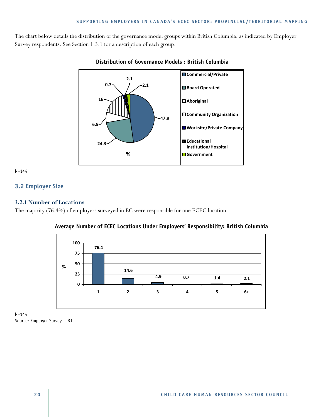The chart below details the distribution of the governance model groups within British Columbia, as indicated by Employer Survey respondents. See Section 1.3.1 for a description of each group.



## **Distribution of Governance Models : British Columbia**

N=144

## **3.2 Employer Size**

#### **3.2.1 Number of Locations**

The majority (76.4%) of employers surveyed in BC were responsible for one ECEC location.





N=144 Source: Employer Survey - B1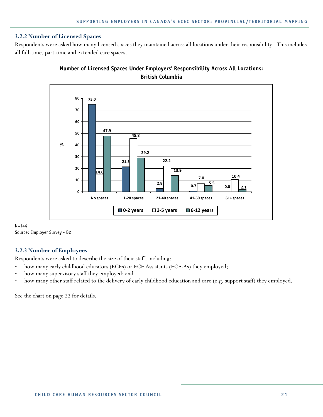#### **3.2.2 Number of Licensed Spaces**

Respondents were asked how many licensed spaces they maintained across all locations under their responsibility. This includes all full-time, part-time and extended care spaces.



## **Number of Licensed Spaces Under Employers' Responsibility Across All Locations: British Columbia**

 $N=144$ Source: Employer Survey - B2

## **3.2.3 Number of Employees**

Respondents were asked to describe the size of their staff, including:

- how many early childhood educators (ECEs) or ECE Assistants (ECE-As) they employed;
- how many supervisory staff they employed; and
- how many other staff related to the delivery of early childhood education and care (e.g. support staff) they employed.

See the chart on page 22 for details.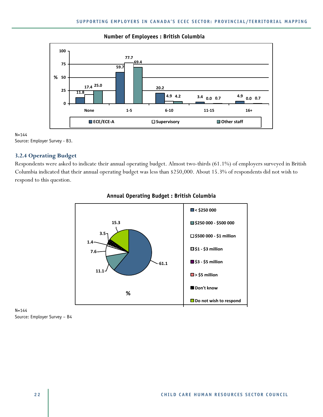

## **Number of Employees : British Columbia**

#### N=144

Source: Employer Survey - B3.

#### **3.2.4 Operating Budget**

Respondents were asked to indicate their annual operating budget. Almost two-thirds (61.1%) of employers surveyed in British Columbia indicated that their annual operating budget was less than \$250,000. About 15.3% of respondents did not wish to respond to this question.



#### **Annual Operating Budget : British Columbia**

N=144 Source: Employer Survey – B4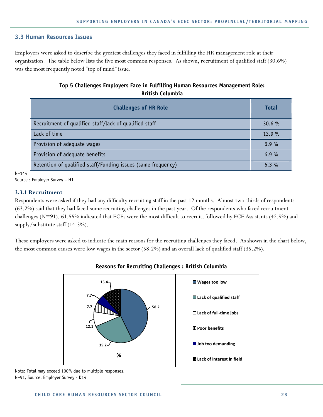#### **3.3 Human Resources Issues**

Employers were asked to describe the greatest challenges they faced in fulfilling the HR management role at their organization. The table below lists the five most common responses. As shown, recruitment of qualified staff (30.6%) was the most frequently noted "top of mind" issue.

## **Top 5 Challenges Employers Face in Fulfilling Human Resources Management Role: British Columbia**

| <b>Challenges of HR Role</b>                                 | <b>Total</b> |
|--------------------------------------------------------------|--------------|
| Recruitment of qualified staff/lack of qualified staff       | $30.6 \%$    |
| Lack of time                                                 | 13.9%        |
| Provision of adequate wages                                  | 6.9%         |
| Provision of adequate benefits                               | 6.9%         |
| Retention of qualified staff/Funding issues (same frequency) | $6.3\%$      |

N=144

Source : Employer Survey – H1

#### **3.3.1 Recruitment**

Respondents were asked if they had any difficulty recruiting staff in the past 12 months. Almost two-thirds of respondents (63.2%) said that they had faced some recruiting challenges in the past year. Of the respondents who faced recruitment challenges (N=91), 61.55% indicated that ECEs were the most difficult to recruit, followed by ECE Assistants (42.9%) and supply/substitute staff (14.3%).

These employers were asked to indicate the main reasons for the recruiting challenges they faced. As shown in the chart below, the most common causes were low wages in the sector (58.2%) and an overall lack of qualified staff (35.2%).



## **Reasons for Recruiting Challenges : British Columbia**

Note: Total may exceed 100% due to multiple responses. N=91, Source: Employer Survey - D14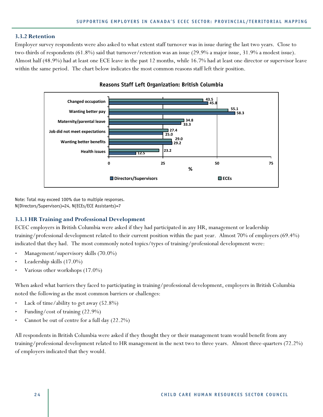#### **3.3.2 Retention**

Employer survey respondents were also asked to what extent staff turnover was in issue during the last two years. Close to two-thirds of respondents (61.8%) said that turnover/retention was an issue (29.9% a major issue, 31.9% a modest issue). Almost half (48.9%) had at least one ECE leave in the past 12 months, while 16.7% had at least one director or supervisor leave within the same period. The chart below indicates the most common reasons staff left their position.



**Reasons Staff Left Organization: British Columbia** 

Note: Total may exceed 100% due to multiple responses. N(Directors/Supervisors)=24, N(ECEs/ECE Assistants)=7

#### **3.3.3 HR Training and Professional Development**

ECEC employers in British Columbia were asked if they had participated in any HR, management or leadership training/professional development related to their current position within the past year. Almost 70% of employers (69.4%) indicated that they had. The most commonly noted topics/types of training/professional development were:

- Management/supervisory skills (70.0%)
- Leadership skills (17.0%)
- Various other workshops (17.0%)

When asked what barriers they faced to participating in training/professional development, employers in British Columbia noted the following as the most common barriers or challenges:

- Lack of time/ability to get away (52.8%)
- Funding/cost of training (22.9%)
- Cannot be out of centre for a full day (22.2%)

All respondents in British Columbia were asked if they thought they or their management team would benefit from any training/professional development related to HR management in the next two to three years. Almost three-quarters (72.2%) of employers indicated that they would.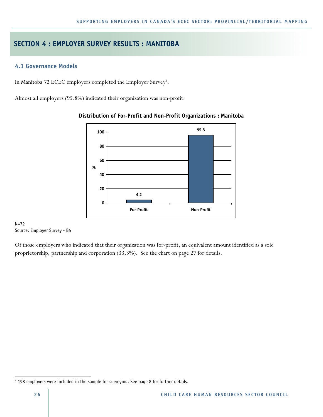## **SECTION 4 : EMPLOYER SURVEY RESULTS : MANITOBA**

## **4.1 Governance Models**

In Manitoba 72 ECEC employers completed the Employer Survey<sup>4</sup>.

Almost all employers (95.8%) indicated their organization was non-profit.



#### **Distribution of For-Profit and Non-Profit Organizations : Manitoba**

#### N=72 Source: Employer Survey - B5

Of those employers who indicated that their organization was for-profit, an equivalent amount identified as a sole proprietorship, partnership and corporation (33.3%). See the chart on page 27 for details.

 $\overline{a}$ 

<sup>4</sup> 198 employers were included in the sample for surveying. See page 8 for further details.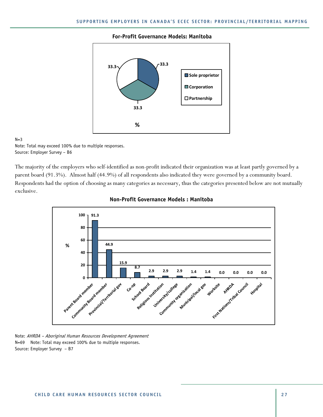#### **For-Profit Governance Models: Manitoba**



#### $N=3$

Note: Total may exceed 100% due to multiple responses. Source: Employer Survey – B6

The majority of the employers who self-identified as non-profit indicated their organization was at least partly governed by a parent board (91.3%). Almost half (44.9%) of all respondents also indicated they were governed by a community board. Respondents had the option of choosing as many categories as necessary, thus the categories presented below are not mutually exclusive.





Note: AHRDA – Aboriginal Human Resources Development Agreement N=69 Note: Total may exceed 100% due to multiple responses. Source: Employer Survey – B7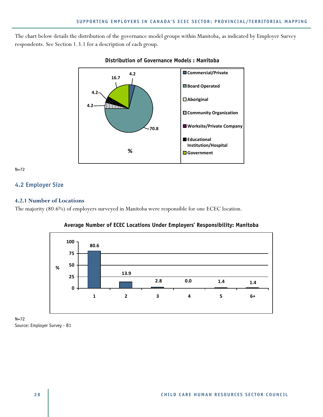The chart below details the distribution of the governance model groups within Manitoba, as indicated by Employer Survey respondents. See Section 1.3.1 for a description of each group.



#### **Distribution of Governance Models : Manitoba**

 $N=72$ 

## **4.2 Employer Size**

#### **4.2.1 Number of Locations**

The majority (80.6%) of employers surveyed in Manitoba were responsible for one ECEC location.





N=72 Source: Employer Survey - B1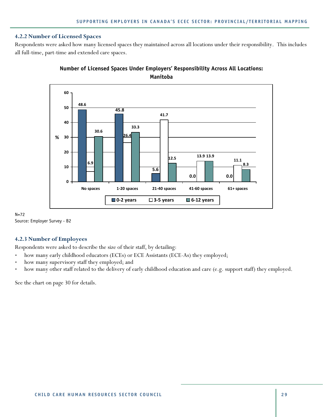#### **4.2.2 Number of Licensed Spaces**

Respondents were asked how many licensed spaces they maintained across all locations under their responsibility. This includes all full-time, part-time and extended care spaces.



## **Number of Licensed Spaces Under Employers' Responsibility Across All Locations: Manitoba**

N=72 Source: Employer Survey - B2

## **4.2.3 Number of Employees**

Respondents were asked to describe the size of their staff, by detailing:

- how many early childhood educators (ECEs) or ECE Assistants (ECE-As) they employed;
- how many supervisory staff they employed; and
- how many other staff related to the delivery of early childhood education and care (e.g. support staff) they employed.

See the chart on page 30 for details.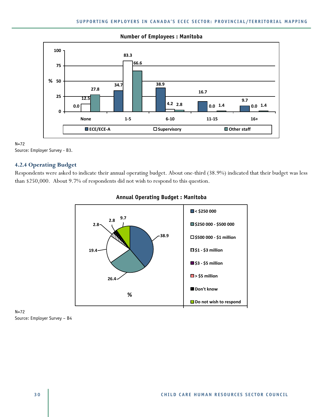

#### **Number of Employees : Manitoba**

 $N=72$ 

Source: Employer Survey - B3.

## **4.2.4 Operating Budget**

Respondents were asked to indicate their annual operating budget. About one-third (38.9%) indicated that their budget was less than \$250,000. About 9.7% of respondents did not wish to respond to this question.



## **Annual Operating Budget : Manitoba**

N=72 Source: Employer Survey – B4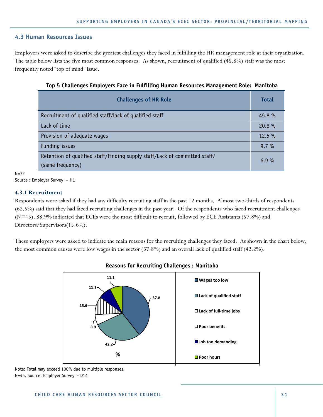## **4.3 Human Resources Issues**

Employers were asked to describe the greatest challenges they faced in fulfilling the HR management role at their organization. The table below lists the five most common responses. As shown, recruitment of qualified (45.8%) staff was the most frequently noted "top of mind" issue.

| <b>Challenges of HR Role</b>                                               | <b>Total</b> |
|----------------------------------------------------------------------------|--------------|
| Recruitment of qualified staff/lack of qualified staff                     | 45.8%        |
| Lack of time                                                               | 20.8%        |
| Provision of adequate wages                                                | $12.5\%$     |
| Funding issues                                                             | $9.7\%$      |
| Retention of qualified staff/Finding supply staff/Lack of committed staff/ | 6.9%         |
| (same frequency)                                                           |              |

## **Top 5 Challenges Employers Face in Fulfilling Human Resources Management Role: Manitoba**

N=72

Source : Employer Survey – H1

## **4.3.1 Recruitment**

Respondents were asked if they had any difficulty recruiting staff in the past 12 months. Almost two-thirds of respondents (62.5%) said that they had faced recruiting challenges in the past year. Of the respondents who faced recruitment challenges (N=45), 88.9% indicated that ECEs were the most difficult to recruit, followed by ECE Assistants (57.8%) and Directors/Supervisors(15.6%).

These employers were asked to indicate the main reasons for the recruiting challenges they faced. As shown in the chart below, the most common causes were low wages in the sector (57.8%) and an overall lack of qualified staff (42.2%).



## **Reasons for Recruiting Challenges : Manitoba**

Note: Total may exceed 100% due to multiple responses. N=45, Source: Employer Survey - D14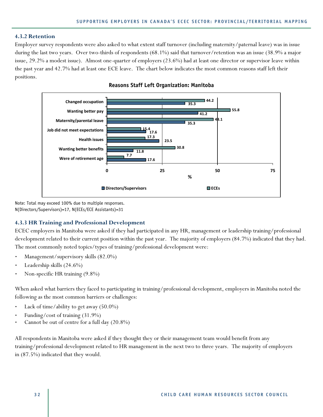#### **4.3.2 Retention**

Employer survey respondents were also asked to what extent staff turnover (including maternity/paternal leave) was in issue during the last two years. Over two-thirds of respondents (68.1%) said that turnover/retention was an issue (38.9% a major issue, 29.2% a modest issue). Almost one-quarter of employers (23.6%) had at least one director or supervisor leave within the past year and 42.7% had at least one ECE leave. The chart below indicates the most common reasons staff left their positions.



**Reasons Staff Left Organization: Manitoba** 

Note: Total may exceed 100% due to multiple responses. N(Directors/Supervisors)=17, N(ECEs/ECE Assistants)=31

#### **4.3.3 HR Training and Professional Development**

ECEC employers in Manitoba were asked if they had participated in any HR, management or leadership training/professional development related to their current position within the past year. The majority of employers (84.7%) indicated that they had. The most commonly noted topics/types of training/professional development were:

- Management/supervisory skills (82.0%)
- Leadership skills (24.6%)
- Non-specific HR training (9.8%)

When asked what barriers they faced to participating in training/professional development, employers in Manitoba noted the following as the most common barriers or challenges:

- Lack of time/ability to get away (50.0%)
- Funding/cost of training (31.9%)
- Cannot be out of centre for a full day (20.8%)

All respondents in Manitoba were asked if they thought they or their management team would benefit from any training/professional development related to HR management in the next two to three years. The majority of employers in (87.5%) indicated that they would.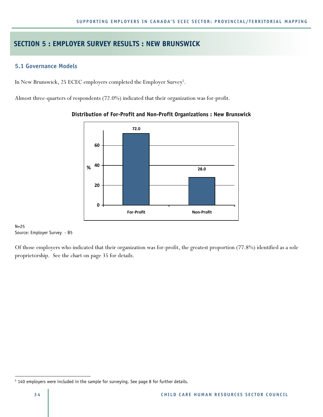## **SECTION 5 : EMPLOYER SURVEY RESULTS : NEW BRUNSWICK**

## **5.1 Governance Models**

In New Brunswick, 25 ECEC employers completed the Employer Survey<sup>5</sup>.

Almost three-quarters of respondents (72.0%) indicated that their organization was for-profit.



## **Distribution of For-Profit and Non-Profit Organizations : New Brunswick**

N=25 Source: Employer Survey - B5

Of those employers who indicated that their organization was for-profit, the greatest proportion (77.8%) identified as a sole proprietorship. See the chart on page 35 for details.

 $\overline{a}$ 

<sup>&</sup>lt;sup>5</sup> 140 employers were included in the sample for surveying. See page 8 for further details.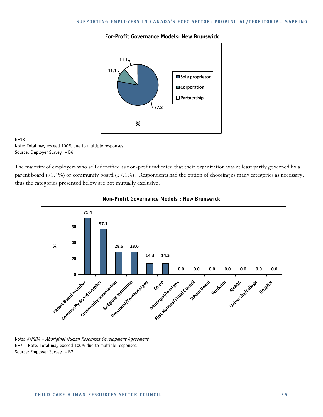#### **For-Profit Governance Models: New Brunswick**



#### $N=18$

Note: Total may exceed 100% due to multiple responses. Source: Employer Survey – B6

The majority of employers who self-identified as non-profit indicated that their organization was at least partly governed by a parent board (71.4%) or community board (57.1%). Respondents had the option of choosing as many categories as necessary, thus the categories presented below are not mutually exclusive.



#### **Non-Profit Governance Models : New Brunswick**

Note: AHRDA – Aboriginal Human Resources Development Agreement N=7 Note: Total may exceed 100% due to multiple responses. Source: Employer Survey – B7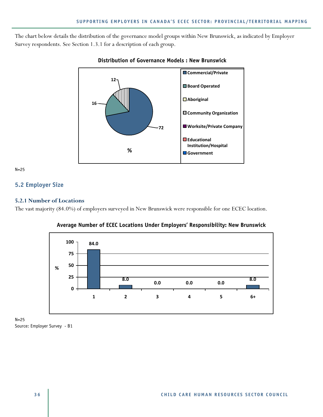The chart below details the distribution of the governance model groups within New Brunswick, as indicated by Employer Survey respondents. See Section 1.3.1 for a description of each group.



## **Distribution of Governance Models : New Brunswick**

 $N=25$ 

## **5.2 Employer Size**

#### **5.2.1 Number of Locations**

The vast majority (84.0%) of employers surveyed in New Brunswick were responsible for one ECEC location.



**Average Number of ECEC Locations Under Employers' Responsibility: New Brunswick** 

N=25 Source: Employer Survey - B1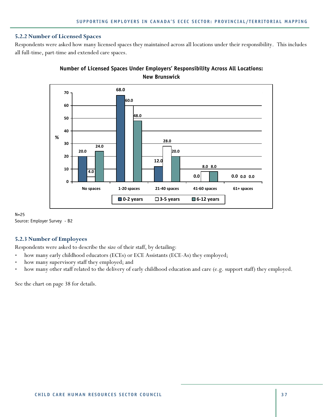#### **5.2.2 Number of Licensed Spaces**

Respondents were asked how many licensed spaces they maintained across all locations under their responsibility. This includes all full-time, part-time and extended care spaces.



# **Number of Licensed Spaces Under Employers' Responsibility Across All Locations: New Brunswick**

 $N=25$ Source: Employer Survey - B2

## **5.2.3 Number of Employees**

Respondents were asked to describe the size of their staff, by detailing:

- how many early childhood educators (ECEs) or ECE Assistants (ECE-As) they employed;
- how many supervisory staff they employed; and
- how many other staff related to the delivery of early childhood education and care (e.g. support staff) they employed.

See the chart on page 38 for details.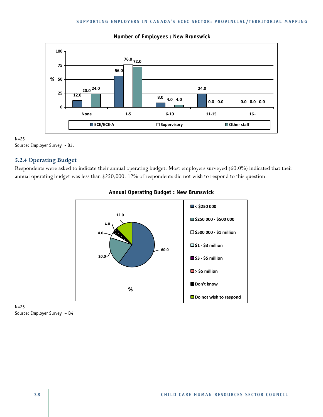

### **Number of Employees : New Brunswick**

N=25

Source: Employer Survey - B3.

## **5.2.4 Operating Budget**

Respondents were asked to indicate their annual operating budget. Most employers surveyed (60.0%) indicated that their annual operating budget was less than \$250,000. 12% of respondents did not wish to respond to this question.



# **Annual Operating Budget : New Brunswick**

N=25 Source: Employer Survey – B4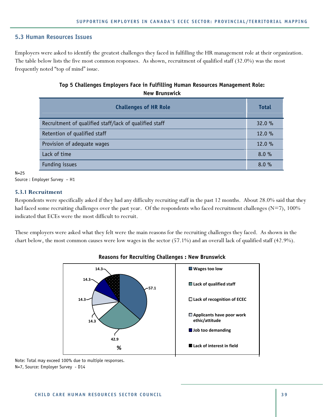# **5.3 Human Resources Issues**

Employers were asked to identify the greatest challenges they faced in fulfilling the HR management role at their organization. The table below lists the five most common responses. As shown, recruitment of qualified staff (32.0%) was the most frequently noted "top of mind" issue.

# **Top 5 Challenges Employers Face in Fulfilling Human Resources Management Role: New Brunswick**

| <b>Challenges of HR Role</b>                           | <b>Total</b> |
|--------------------------------------------------------|--------------|
| Recruitment of qualified staff/lack of qualified staff | 32.0%        |
| Retention of qualified staff                           | 12.0 %       |
| Provision of adequate wages                            | 12.0 %       |
| Lack of time                                           | 8.0%         |
| Funding issues                                         | 8.0%         |

 $N=25$ 

## **5.3.1 Recruitment**

Respondents were specifically asked if they had any difficulty recruiting staff in the past 12 months. About 28.0% said that they had faced some recruiting challenges over the past year. Of the respondents who faced recruitment challenges ( $N=7$ ), 100% indicated that ECEs were the most difficult to recruit.

These employers were asked what they felt were the main reasons for the recruiting challenges they faced. As shown in the chart below, the most common causes were low wages in the sector (57.1%) and an overall lack of qualified staff (42.9%).



## **Reasons for Recruiting Challenges : New Brunswick**

Source : Employer Survey – H1

Note: Total may exceed 100% due to multiple responses. N=7, Source: Employer Survey - D14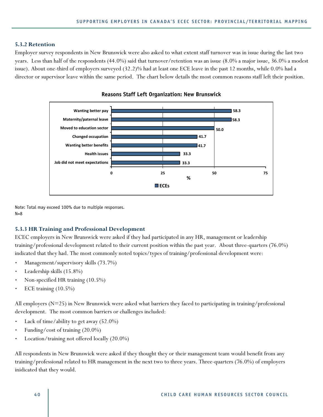#### **5.3.2 Retention**

Employer survey respondents in New Brunswick were also asked to what extent staff turnover was in issue during the last two years. Less than half of the respondents (44.0%) said that turnover/retention was an issue (8.0% a major issue, 36.0% a modest issue). About one-third of employers surveyed (32.2)% had at least one ECE leave in the past 12 months, while 0.0% had a director or supervisor leave within the same period. The chart below details the most common reasons staff left their position.



**Reasons Staff Left Organization: New Brunswick** 

Note: Total may exceed 100% due to multiple responses.  $N=8$ 

#### **5.3.3 HR Training and Professional Development**

ECEC employers in New Brunswick were asked if they had participated in any HR, management or leadership training/professional development related to their current position within the past year. About three-quarters (76.0%) indicated that they had. The most commonly noted topics/types of training/professional development were:

- Management/supervisory skills (73.7%)
- Leadership skills (15.8%)
- Non-specified HR training (10.5%)
- ECE training (10.5%)

All employers (N=25) in New Brunswick were asked what barriers they faced to participating in training/professional development. The most common barriers or challenges included:

- Lack of time/ability to get away (52.0%)
- Funding/cost of training (20.0%)
- Location/training not offered locally (20.0%)

All respondents in New Brunswick were asked if they thought they or their management team would benefit from any training/professional related to HR management in the next two to three years. Three-quarters (76.0%) of employers inidicated that they would.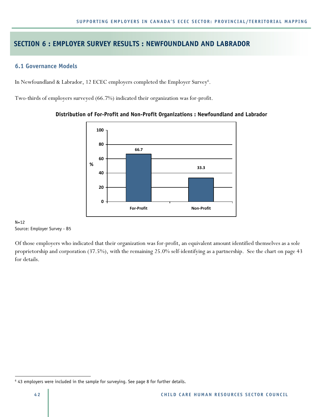# **SECTION 6 : EMPLOYER SURVEY RESULTS : NEWFOUNDLAND AND LABRADOR**

## **6.1 Governance Models**

In Newfoundland & Labrador, 12 ECEC employers completed the Employer Survey<sup>6</sup>.

Two-thirds of employers surveyed (66.7%) indicated their organization was for-profit.



## **Distribution of For-Profit and Non-Profit Organizations : Newfoundland and Labrador**

#### $N=12$ Source: Employer Survey - B5

Of those employers who indicated that their organization was for-profit, an equivalent amount identified themselves as a sole proprietorship and corporation (37.5%), with the remaining 25.0% self-identifying as a partnership. See the chart on page 43 for details.

 $\overline{a}$ 

<sup>&</sup>lt;sup>6</sup> 43 employers were included in the sample for surveying. See page 8 for further details.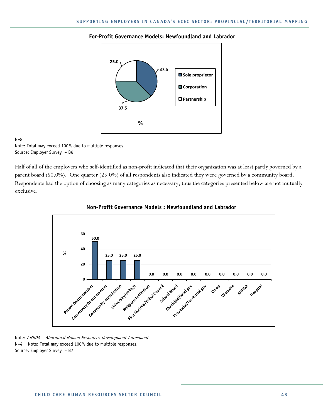#### **For-Profit Governance Models: Newfoundland and Labrador**



#### $N=8$

Note: Total may exceed 100% due to multiple responses. Source: Employer Survey – B6

Half of all of the employers who self-identified as non-profit indicated that their organization was at least partly governed by a parent board (50.0%). One quarter (25.0%) of all respondents also indicated they were governed by a community board. Respondents had the option of choosing as many categories as necessary, thus the categories presented below are not mutually exclusive.



## **Non-Profit Governance Models : Newfoundland and Labrador**

Note: AHRDA – Aboriginal Human Resources Development Agreement N=4 Note: Total may exceed 100% due to multiple responses. Source: Employer Survey – B7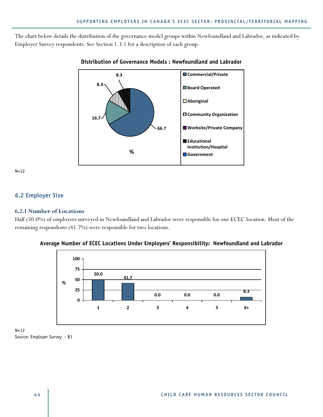The chart below details the distribution of the governance model groups within Newfoundland and Labrador, as indicated by Employer Survey respondents. See Section 1.3.1 for a description of each group.



# **Distribution of Governance Models : Newfoundland and Labrador**

N=12

# **6.2 Employer Size**

#### **6.2.1 Number of Locations**

Half (50.0%) of employers surveyed in Newfoundland and Labrador were responsible for one ECEC location. Most of the remaining respondents (41.7%) were responsible for two locations.



**Average Number of ECEC Locations Under Employers' Responsibility: Newfoundland and Labrador** 

N=12 Source: Employer Survey - B1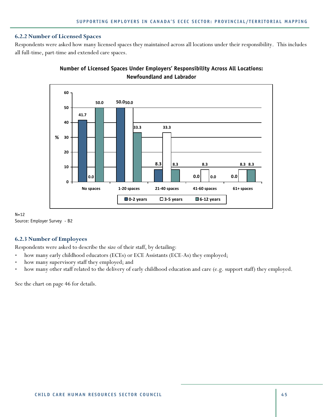#### **6.2.2 Number of Licensed Spaces**

Respondents were asked how many licensed spaces they maintained across all locations under their responsibility. This includes all full-time, part-time and extended care spaces.



# **Number of Licensed Spaces Under Employers' Responsibility Across All Locations: Newfoundland and Labrador**

 $N=12$ Source: Employer Survey - B2

## **6.2.3 Number of Employees**

Respondents were asked to describe the size of their staff, by detailing:

- how many early childhood educators (ECEs) or ECE Assistants (ECE-As) they employed;
- how many supervisory staff they employed; and
- how many other staff related to the delivery of early childhood education and care (e.g. support staff) they employed.

See the chart on page 46 for details.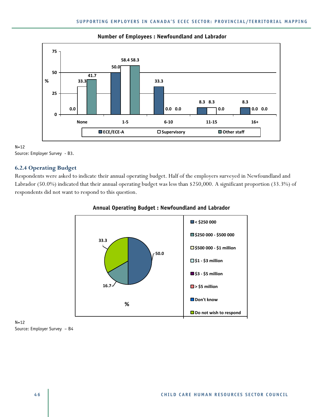

### **Number of Employees : Newfoundland and Labrador**

 $N=12$ Source: Employer Survey - B3.

# **6.2.4 Operating Budget**

Respondents were asked to indicate their annual operating budget. Half of the employers surveyed in Newfoundland and Labrador (50.0%) indicated that their annual operating budget was less than \$250,000. A significant proportion (33.3%) of respondents did not want to respond to this question.



# **Annual Operating Budget : Newfoundland and Labrador**

N=12 Source: Employer Survey – B4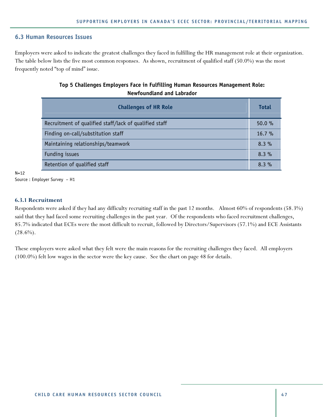## **6.3 Human Resources Issues**

Employers were asked to indicate the greatest challenges they faced in fulfilling the HR management role at their organization. The table below lists the five most common responses. As shown, recruitment of qualified staff (50.0%) was the most frequently noted "top of mind" issue.

# **Top 5 Challenges Employers Face in Fulfilling Human Resources Management Role: Newfoundland and Labrador**

| <b>Challenges of HR Role</b>                           | <b>Total</b> |
|--------------------------------------------------------|--------------|
| Recruitment of qualified staff/lack of qualified staff | 50.0%        |
| Finding on-call/substitution staff                     | 16.7%        |
| Maintaining relationships/teamwork                     | 8.3%         |
| Funding issues                                         | 8.3%         |
| Retention of qualified staff                           | 8.3%         |

 $N=12$ 

Source : Employer Survey – H1

#### **6.3.1 Recruitment**

Respondents were asked if they had any difficulty recruiting staff in the past 12 months. Almost 60% of respondents (58.3%) said that they had faced some recruiting challenges in the past year. Of the respondents who faced recruitment challenges, 85.7% indicated that ECEs were the most difficult to recruit, followed by Directors/Supervisors (57.1%) and ECE Assistants  $(28.6\%)$ .

These employers were asked what they felt were the main reasons for the recruiting challenges they faced. All employers (100.0%) felt low wages in the sector were the key cause. See the chart on page 48 for details.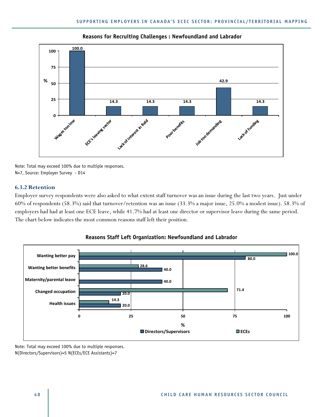

#### **Reasons for Recruiting Challenges : Newfoundland and Labrador**

Note: Total may exceed 100% due to multiple responses. N=7, Source: Employer Survey - D14

#### **6.3.2 Retention**

Employer survey respondents were also asked to what extent staff turnover was an issue during the last two years. Just under 60% of respondents (58.3%) said that turnover/retention was an issue (33.3% a major issue, 25.0% a modest issue). 58.3% of employers had had at least one ECE leave, while 41.7% had at least one director or supervisor leave during the same period. The chart below indicates the most common reasons staff left their position.





Note: Total may exceed 100% due to multiple responses. N(Directors/Supervisors)=5 N(ECEs/ECE Assistants)=7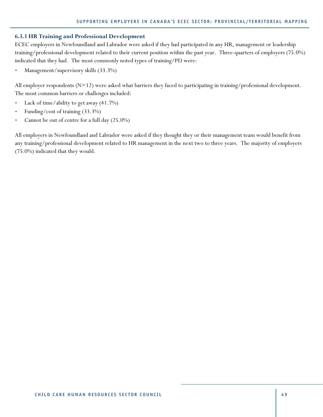#### **6.3.3 HR Training and Professional Development**

ECEC employers in Newfoundland and Labrador were asked if they had participated in any HR, management or leadership training/professional development related to their current position within the past year. Three-quarters of employers (75.0%) indicated that they had. The most commonly noted types of training/PD were:

Management/supervisory skills (33.3%)

All employer respondents  $(N=12)$  were asked what barriers they faced to participating in training/professional development. The most common barriers or challenges included:

- Lack of time/ability to get away (41.7%)
- Funding/cost of training (33.3%)
- Cannot be out of centre for a full day (25.0%)

All employers in Newfoundland and Labrador were asked if they thought they or their management team would benefit from any training/professional development related to HR management in the next two to three years. The majority of employers (75.0%) indicated that they would.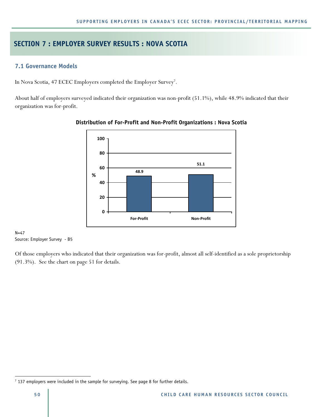# **SECTION 7 : EMPLOYER SURVEY RESULTS : NOVA SCOTIA**

# **7.1 Governance Models**

In Nova Scotia, 47 ECEC Employers completed the Employer Survey<sup>7</sup> .

About half of employers surveyed indicated their organization was non-profit (51.1%), while 48.9% indicated that their organization was for-profit.



## **Distribution of For-Profit and Non-Profit Organizations : Nova Scotia**

 $N=47$ Source: Employer Survey - B5

Of those employers who indicated that their organization was for-profit, almost all self-identified as a sole proprietorship (91.3%). See the chart on page 51 for details.

 $\overline{a}$ 

 $7$  137 employers were included in the sample for surveying. See page 8 for further details.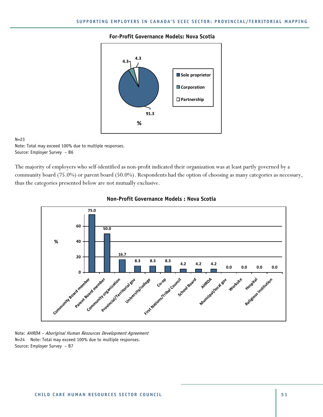#### **For-Profit Governance Models: Nova Scotia**



#### $N=23$

Note: Total may exceed 100% due to multiple responses. Source: Employer Survey – B6

The majority of employers who self-identified as non-profit indicated their organization was at least partly governed by a community board (75.0%) or parent board (50.0%). Respondents had the option of choosing as many categories as necessary, thus the categories presented below are not mutually exclusive.



#### **Non-Profit Governance Models : Nova Scotia**

Note: AHRDA – Aboriginal Human Resources Development Agreement N=24 Note: Total may exceed 100% due to multiple responses. Source: Employer Survey – B7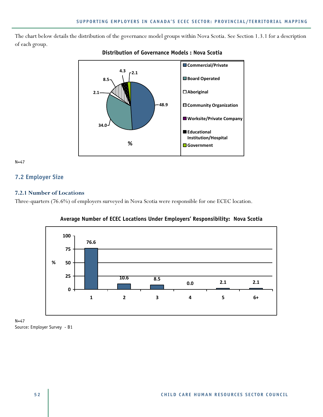The chart below details the distribution of the governance model groups within Nova Scotia. See Section 1.3.1 for a description of each group.



# **Distribution of Governance Models : Nova Scotia**

N=47

# **7.2 Employer Size**

# **7.2.1 Number of Locations**

Three-quarters (76.6%) of employers surveyed in Nova Scotia were responsible for one ECEC location.





N=47 Source: Employer Survey - B1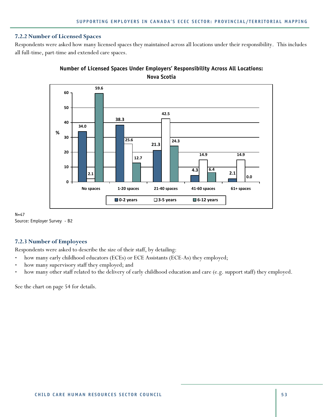### **7.2.2 Number of Licensed Spaces**

Respondents were asked how many licensed spaces they maintained across all locations under their responsibility. This includes all full-time, part-time and extended care spaces.



# **Number of Licensed Spaces Under Employers' Responsibility Across All Locations: Nova Scotia**

N=47 Source: Employer Survey - B2

## **7.2.3 Number of Employees**

Respondents were asked to describe the size of their staff, by detailing:

- how many early childhood educators (ECEs) or ECE Assistants (ECE-As) they employed;
- how many supervisory staff they employed; and
- how many other staff related to the delivery of early childhood education and care (e.g. support staff) they employed.

See the chart on page 54 for details.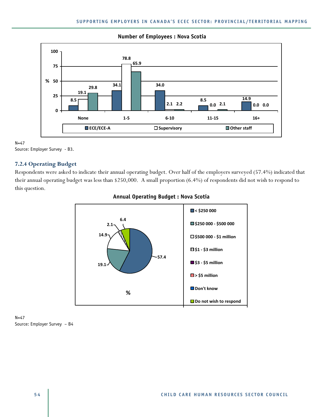

#### **Number of Employees : Nova Scotia**

N=47

# **7.2.4 Operating Budget**

Respondents were asked to indicate their annual operating budget. Over half of the employers surveyed (57.4%) indicated that their annual operating budget was less than \$250,000. A small proportion (6.4%) of respondents did not wish to respond to this question.



# **Annual Operating Budget : Nova Scotia**

 $N = 47$ Source: Employer Survey – B4

Source: Employer Survey - B3.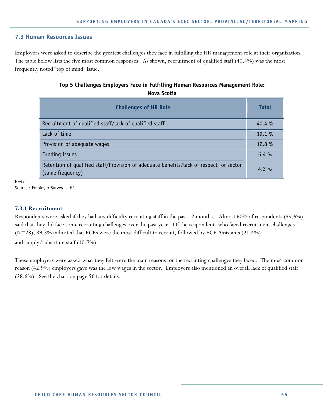# **7.3 Human Resources Issues**

Employers were asked to describe the greatest challenges they face in fulfilling the HR management role at their organization. The table below lists the five most common responses. As shown, recruitment of qualified staff (40.4%) was the most frequently noted "top of mind" issue.

# **Top 5 Challenges Employers Face in Fulfilling Human Resources Management Role: Nova Scotia**

| <b>Challenges of HR Role</b>                                                                               | <b>Total</b> |
|------------------------------------------------------------------------------------------------------------|--------------|
| Recruitment of qualified staff/lack of qualified staff                                                     | $40.4\%$     |
| Lack of time                                                                                               | 19.1%        |
| Provision of adequate wages                                                                                | 12.8%        |
| Funding issues                                                                                             | $6.4\%$      |
| Retention of qualified staff/Provision of adequate benefits/lack of respect for sector<br>(same frequency) | $4.3\%$      |

 $N = 47$ 

Source : Employer Survey – H1

## **7.3.1 Recruitment**

Respondents were asked if they had any difficulty recruiting staff in the past 12 months. Almost 60% of respondents (59.6%) said that they did face some recruiting challenges over the past year. Of the respondents who faced recruitment challenges (N=28), 89.3% indicated that ECEs were the most difficult to recruit, followed by ECE Assistants (21.4%) and supply/substitute staff (10.7%).

These employers were asked what they felt were the main reasons for the recruiting challenges they faced. The most common reason (42.9%) employers gave was the low wages in the sector. Employers also mentioned an overall lack of qualified staff (28.6%). See the chart on page 56 for details.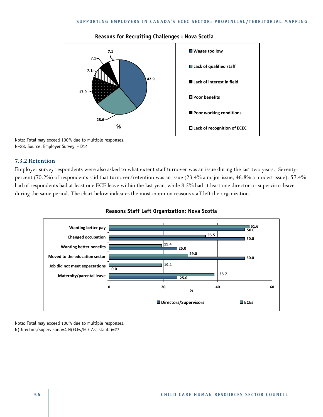#### **Reasons for Recruiting Challenges : Nova Scotia**



Note: Total may exceed 100% due to multiple responses. N=28, Source: Employer Survey - D14

#### **7.3.2 Retention**

Employer survey respondents were also asked to what extent staff turnover was an issue during the last two years. Seventypercent (70.2%) of respondents said that turnover/retention was an issue (23.4% a major issue, 46.8% a modest issue). 57.4% had of respondents had at least one ECE leave within the last year, while 8.5% had at least one director or supervisor leave during the same period. The chart below indicates the most common reasons staff left the organization.



#### **Reasons Staff Left Organization: Nova Scotia**

Note: Total may exceed 100% due to multiple responses. N(Directors/Supervisors)=4 N(ECEs/ECE Assistants)=27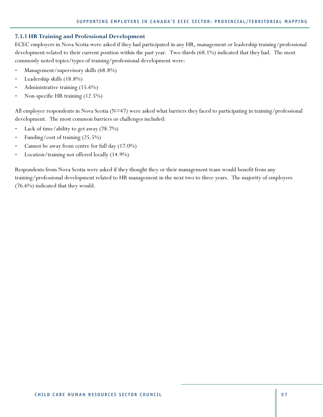## **7.3.3 HR Training and Professional Development**

ECEC employers in Nova Scotia were asked if they had participated in any HR, management or leadership training/professional development related to their current position within the past year. Two-thirds (68.1%) indicated that they had. The most commonly noted topics/types of training/professional development were:

- Management/supervisory skills (68.8%)
- Leadership skills (18.8%)
- Administrative training (15.6%)
- Non-specific HR training (12.5%)

All employer respondents in Nova Scotia ( $N=47$ ) were asked what barriers they faced to participating in training/professional development. The most common barriers or challenges included:

- Lack of time/ability to get away (78.7%)
- Funding/cost of training (25.5%)
- Cannot be away from centre for full day (17.0%)
- Location/training not offered locally (14.9%)

Respondents from Nova Scotia were asked if they thought they or their management team would benefit from any training/professional development related to HR management in the next two to three years. The majority of employers (76.6%) indicated that they would.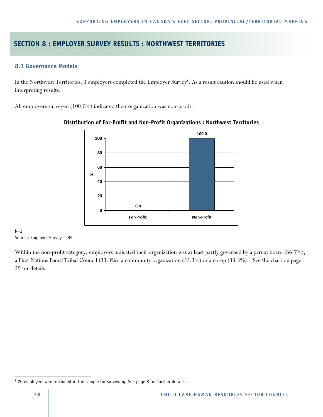# **SECTION 8 : EMPLOYER SURVEY RESULTS : NORTHWEST TERRITORIES**

# **8.1 Governance Models**

In the Northwest Territories, 3 employers completed the Employer Survey<sup>8</sup>. As a result caution should be used when interpreting results.

All employers surveyed (100.0%) indicated their organization was non-profit.



**Distribution of For-Profit and Non-Profit Organizations : Northwest Territories** 

#### $N=3$ Source: Employer Survey - B5

Within the non-profit category, employers indicated their organization was at least partly governed by a parent board (66.7%), a First Nations Band/Tribal Council (33.3%), a community organization (33.3%) or a co-op (33.3%). See the chart on page 59 for details.

 $\overline{a}$ 

<sup>&</sup>lt;sup>8</sup> 20 employers were included in the sample for surveying. See page 8 for further details.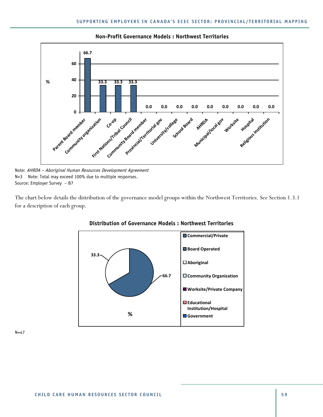

**Non-Profit Governance Models : Northwest Territories** 

Note: AHRDA – Aboriginal Human Resources Development Agreement N=3 Note: Total may exceed 100% due to multiple responses. Source: Employer Survey – B7

The chart below details the distribution of the governance model groups within the Northwest Territories. See Section 1.3.1 for a description of each group.



#### **Distribution of Governance Models : Northwest Territories**

N=47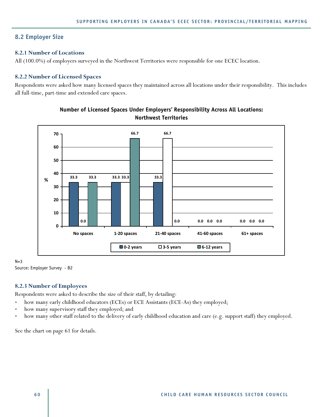# **8.2 Employer Size**

## **8.2.1 Number of Locations**

All (100.0%) of employers surveyed in the Northwest Territories were responsible for one ECEC location.

## **8.2.2 Number of Licensed Spaces**

Respondents were asked how many licensed spaces they maintained across all locations under their responsibility. This includes all full-time, part-time and extended care spaces.



**Number of Licensed Spaces Under Employers' Responsibility Across All Locations: Northwest Territories**

 $N=3$ Source: Employer Survey - B2

# **8.2.3 Number of Employees**

Respondents were asked to describe the size of their staff, by detailing:

- how many early childhood educators (ECEs) or ECE Assistants (ECE-As) they employed;
- how many supervisory staff they employed; and
- how many other staff related to the delivery of early childhood education and care (e.g. support staff) they employed.

See the chart on page 61 for details.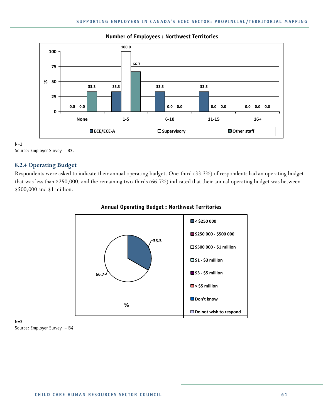

## **Number of Employees : Northwest Territories**

 $N=3$ 

# **8.2.4 Operating Budget**

Respondents were asked to indicate their annual operating budget. One-third (33.3%) of respondents had an operating budget that was less than \$250,000, and the remaining two-thirds (66.7%) indicated that their annual operating budget was between \$500,000 and \$1 million.



## **Annual Operating Budget : Northwest Territories**

 $N=3$ Source: Employer Survey – B4

Source: Employer Survey - B3.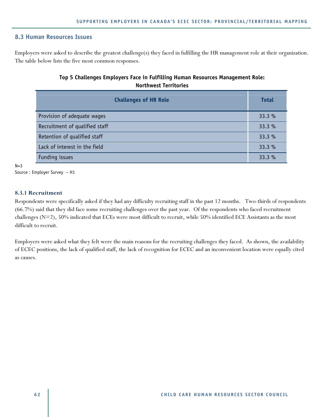## **8.3 Human Resources Issues**

Employers were asked to describe the greatest challenge(s) they faced in fulfilling the HR management role at their organization. The table below lists the five most common responses.

# **Top 5 Challenges Employers Face in Fulfilling Human Resources Management Role: Northwest Territories**

| <b>Challenges of HR Role</b>   | <b>Total</b> |
|--------------------------------|--------------|
| Provision of adequate wages    | 33.3%        |
| Recruitment of qualified staff | 33.3%        |
| Retention of qualified staff   | 33.3%        |
| Lack of interest in the field  | 33.3%        |
| Funding issues                 | 33.3%        |

 $N=3$ 

Source : Employer Survey – H1

#### **8.3.1 Recruitment**

Respondents were specifically asked if they had any difficulty recruiting staff in the past 12 months. Two-thirds of respondents (66.7%) said that they did face some recruiting challenges over the past year. Of the respondents who faced recruitment challenges ( $N=2$ ), 50% indicated that ECEs were most difficult to recruit, while 50% identified ECE Assistants as the most difficult to recruit.

Employers were asked what they felt were the main reasons for the recruiting challenges they faced. As shown, the availability of ECEC positions, the lack of qualified staff, the lack of recognition for ECEC and an inconvenient location were equally cited as causes.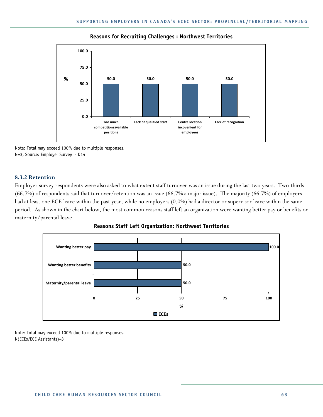

#### **Reasons for Recruiting Challenges : Northwest Territories**

Note: Total may exceed 100% due to multiple responses. N=3, Source: Employer Survey - D14

#### **8.3.2 Retention**

Employer survey respondents were also asked to what extent staff turnover was an issue during the last two years. Two-thirds (66.7%) of respondents said that turnover/retention was an issue (66.7% a major issue). The majority (66.7%) of employers had at least one ECE leave within the past year, while no employers (0.0%) had a director or supervisor leave within the same period. As shown in the chart below, the most common reasons staff left an organization were wanting better pay or benefits or maternity/parental leave.





Note: Total may exceed 100% due to multiple responses. N(ECEs/ECE Assistants)=3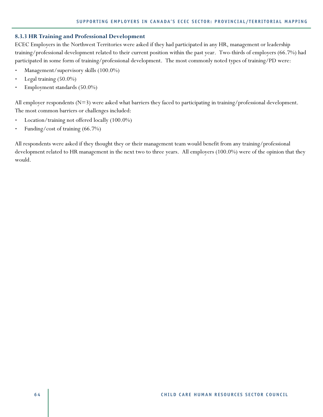#### **8.3.3 HR Training and Professional Development**

ECEC Employers in the Northwest Territories were asked if they had participated in any HR, management or leadership training/professional development related to their current position within the past year. Two-thirds of employers (66.7%) had participated in some form of training/professional development. The most commonly noted types of training/PD were:

- Management/supervisory skills (100.0%)
- Legal training (50.0%)
- Employment standards (50.0%)

All employer respondents (N=3) were asked what barriers they faced to participating in training/professional development. The most common barriers or challenges included:

- Location/training not offered locally (100.0%)
- Funding/cost of training (66.7%)

All respondents were asked if they thought they or their management team would benefit from any training/professional development related to HR management in the next two to three years. All employers (100.0%) were of the opinion that they would.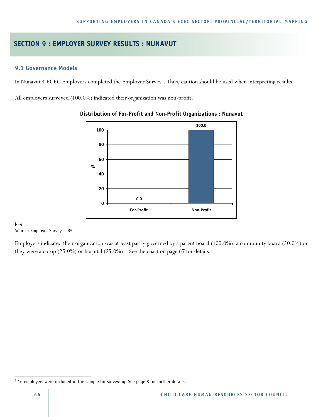# **SECTION 9 : EMPLOYER SURVEY RESULTS : NUNAVUT**

## **9.1 Governance Models**

In Nunavut 4 ECEC Employers completed the Employer Survey<sup>9</sup>. Thus, caution should be used when interpreting results.

All employers surveyed (100.0%) indicated their organization was non-profit.



#### **Distribution of For-Profit and Non-Profit Organizations : Nunavut**

 $N=4$ Source: Employer Survey - B5

Employers indicated their organization was at least partly governed by a parent board (100.0%), a community board (50.0%) or they were a co-op (25.0%) or hospital (25.0%). See the chart on page 67 for details.

 $\overline{a}$ 

<sup>&</sup>lt;sup>9</sup> 16 employers were included in the sample for surveying. See page 8 for further details.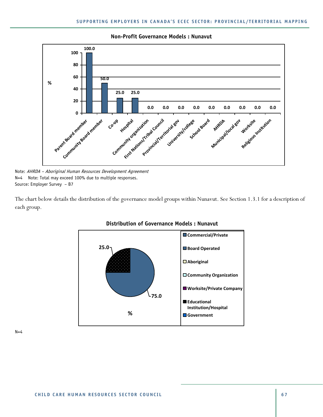

#### **Non-Profit Governance Models : Nunavut**

The chart below details the distribution of the governance model groups within Nunavut. See Section 1.3.1 for a description of each group.



#### **Distribution of Governance Models : Nunavut**

 $N=4$ 

Note: AHRDA – Aboriginal Human Resources Development Agreement N=4 Note: Total may exceed 100% due to multiple responses. Source: Employer Survey – B7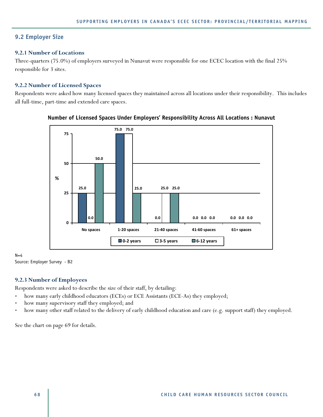## **9.2 Employer Size**

#### **9.2.1 Number of Locations**

Three-quarters (75.0%) of employers surveyed in Nunavut were responsible for one ECEC location with the final 25% responsible for 3 sites.

#### **9.2.2 Number of Licensed Spaces**

Respondents were asked how many licensed spaces they maintained across all locations under their responsibility. This includes all full-time, part-time and extended care spaces.



### **Number of Licensed Spaces Under Employers' Responsibility Across All Locations : Nunavut**

N=4 Source: Employer Survey - B2

# **9.2.3 Number of Employees**

Respondents were asked to describe the size of their staff, by detailing:

- how many early childhood educators (ECEs) or ECE Assistants (ECE-As) they employed;
- how many supervisory staff they employed; and
- how many other staff related to the delivery of early childhood education and care (e.g. support staff) they employed.

See the chart on page 69 for details.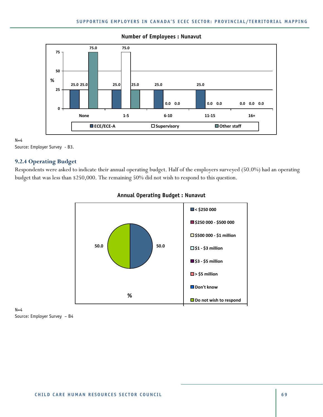

## **Number of Employees : Nunavut**

 $N=4$ Source: Employer Survey - B3.

**9.2.4 Operating Budget** 

Respondents were asked to indicate their annual operating budget. Half of the employers surveyed (50.0%) had an operating budget that was less than \$250,000. The remaining 50% did not wish to respond to this question.



## **Annual Operating Budget : Nunavut**

 $N=4$ Source: Employer Survey – B4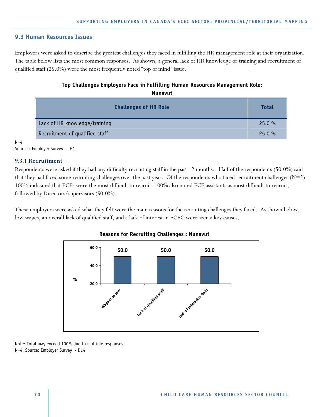#### **9.3 Human Resources Issues**

Employers were asked to describe the greatest challenges they faced in fulfilling the HR management role at their organization. The table below lists the most common responses. As shown, a general lack of HR knowledge or training and recruitment of qualified staff (25.0%) were the most frequently noted "top of mind" issue.

### **Top Challenges Employers Face in Fulfilling Human Resources Management Role: Nunavut**

| <b>Challenges of HR Role</b>   | <b>Total</b> |
|--------------------------------|--------------|
| Lack of HR knowledge/training  | 25.0%        |
| Recruitment of qualified staff | 25.0%        |

 $N=4$ 

Source : Employer Survey – H1

#### **9.3.1 Recruitment**

Respondents were asked if they had any difficulty recruiting staff in the past 12 months. Half of the respondents (50.0%) said that they had faced some recruiting challenges over the past year. Of the respondents who faced recruitment challenges  $(N=2)$ , 100% indicated that ECEs were the most difficult to recruit. 100% also noted ECE assistants as most difficult to recruit, followed by Directors/supervisors (50.0%).

These employers were asked what they felt were the main reasons for the recruiting challenges they faced. As shown below, low wages, an overall lack of qualified staff, and a lack of interest in ECEC were seen a key causes.



### **Reasons for Recruiting Challenges : Nunavut**

Note: Total may exceed 100% due to multiple responses. N=4, Source: Employer Survey - D14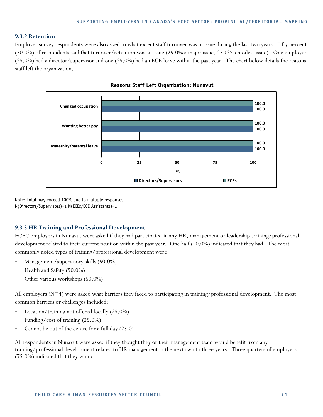## **9.3.2 Retention**

Employer survey respondents were also asked to what extent staff turnover was in issue during the last two years. Fifty percent (50.0%) of respondents said that turnover/retention was an issue (25.0% a major issue, 25.0% a modest issue). One employer (25.0%) had a director/supervisor and one (25.0%) had an ECE leave within the past year. The chart below details the reasons staff left the organization.





Note: Total may exceed 100% due to multiple responses. N(Directors/Supervisors)=1 N(ECEs/ECE Assistants)=1

## **9.3.3 HR Training and Professional Development**

ECEC employers in Nunavut were asked if they had participated in any HR, management or leadership training/professional development related to their current position within the past year. One half (50.0%) indicated that they had. The most commonly noted types of training/professional development were:

- Management/supervisory skills (50.0%)
- Health and Safety (50.0%)
- Other various workshops (50.0%)

All employers (N=4) were asked what barriers they faced to participating in training/professional development. The most common barriers or challenges included:

- Location/training not offered locally (25.0%)
- Funding/cost of training (25.0%)
- Cannot be out of the centre for a full day (25.0)

All respondents in Nunavut were asked if they thought they or their management team would benefit from any training/professional development related to HR management in the next two to three years. Three quarters of employers (75.0%) indicated that they would.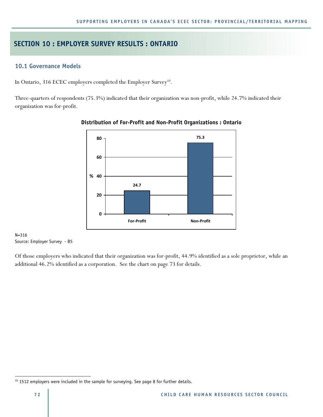# **SECTION 10 : EMPLOYER SURVEY RESULTS : ONTARIO**

## **10.1 Governance Models**

In Ontario, 316 ECEC employers completed the Employer Survey<sup>10</sup>.

Three-quarters of respondents (75.3%) indicated that their organization was non-profit, while 24.7% indicated their organization was for-profit.



### **Distribution of For-Profit and Non-Profit Organizations : Ontario**

N=316 Source: Employer Survey - B5

Of those employers who indicated that their organization was for-profit, 44.9% identified as a sole proprietor, while an additional 46.2% identified as a corporation. See the chart on page 73 for details.

 $\overline{a}$ 

 $10$  1512 employers were included in the sample for surveying. See page 8 for further details.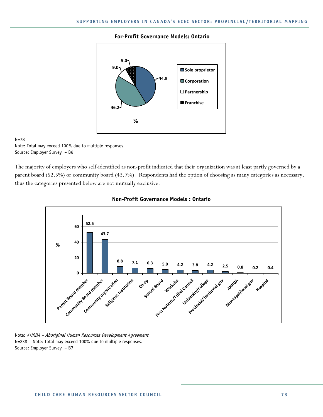#### **For-Profit Governance Models: Ontario**



#### N=78

Note: Total may exceed 100% due to multiple responses. Source: Employer Survey – B6

The majority of employers who self-identified as non-profit indicated that their organization was at least partly governed by a parent board (52.5%) or community board (43.7%). Respondents had the option of choosing as many categories as necessary, thus the categories presented below are not mutually exclusive.





Note: AHRDA – Aboriginal Human Resources Development Agreement N=238 Note: Total may exceed 100% due to multiple responses. Source: Employer Survey – B7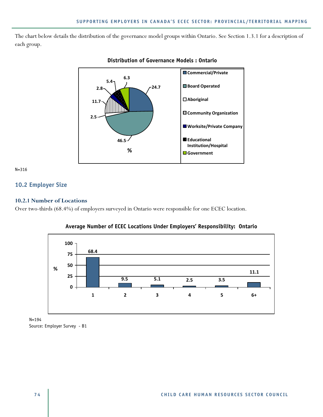The chart below details the distribution of the governance model groups within Ontario. See Section 1.3.1 for a description of each group.



#### **Distribution of Governance Models : Ontario**

N=316

## **10.2 Employer Size**

#### **10.2.1 Number of Locations**

Over two-thirds (68.4%) of employers surveyed in Ontario were responsible for one ECEC location.



**Average Number of ECEC Locations Under Employers' Responsibility: Ontario** 

N=194 Source: Employer Survey - B1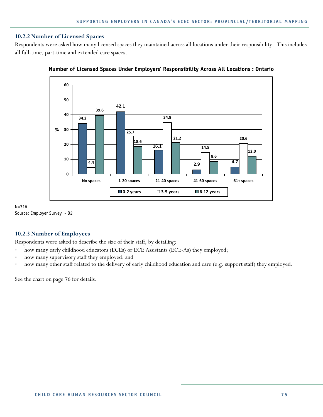### **10.2.2 Number of Licensed Spaces**

Respondents were asked how many licensed spaces they maintained across all locations under their responsibility. This includes all full-time, part-time and extended care spaces.





N=316 Source: Employer Survey - B2

### **10.2.3 Number of Employees**

Respondents were asked to describe the size of their staff, by detailing:

- how many early childhood educators (ECEs) or ECE Assistants (ECE-As) they employed;
- how many supervisory staff they employed; and
- how many other staff related to the delivery of early childhood education and care (e.g. support staff) they employed.

See the chart on page 76 for details.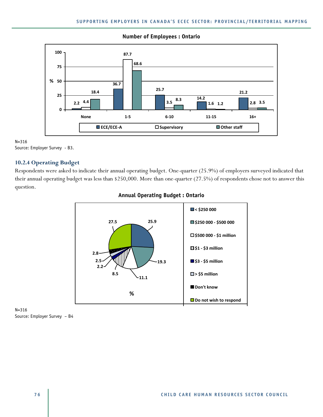

#### **Number of Employees : Ontario**

N=316 Source: Employer Survey - B3.

## **10.2.4 Operating Budget**

Respondents were asked to indicate their annual operating budget. One-quarter (25.9%) of employers surveyed indicated that their annual operating budget was less than \$250,000. More than one-quarter (27.5%) of respondents chose not to answer this question.



### **Annual Operating Budget : Ontario**

N=316 Source: Employer Survey – B4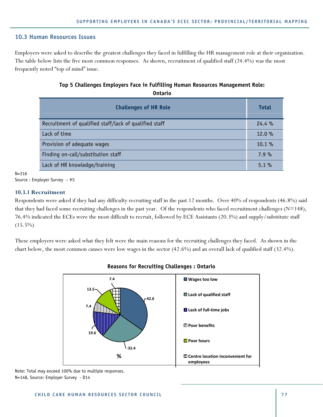## **10.3 Human Resources Issues**

Employers were asked to describe the greatest challenges they faced in fulfilling the HR management role at their organization. The table below lists the five most common responses. As shown, recruitment of qualified staff (24.4%) was the most frequently noted "top of mind" issue.

## **Top 5 Challenges Employers Face in Fulfilling Human Resources Management Role: Ontario**

| <b>Challenges of HR Role</b>                           | <b>Total</b> |
|--------------------------------------------------------|--------------|
| Recruitment of qualified staff/lack of qualified staff | 24.4%        |
| Lack of time                                           | 12.0%        |
| Provision of adequate wages                            | $10.1 \%$    |
| Finding on-call/substitution staff                     | 7.9%         |
| Lack of HR knowledge/training                          | $5.1\%$      |

N=316

Source : Employer Survey – H1

### **10.3.1 Recruitment**

Respondents were asked if they had any difficulty recruiting staff in the past 12 months. Over 40% of respondents (46.8%) said that they had faced some recruiting challenges in the past year. Of the respondents who faced recruitment challenges ( $N=148$ ), 76.4% indicated the ECEs were the most difficult to recruit, followed by ECE Assistants (20.3%) and supply/substitute staff  $(15.5\%)$ 

These employers were asked what they felt were the main reasons for the recruiting challenges they faced. As shown in the chart below, the most common causes were low wages in the sector (42.6%) and an overall lack of qualified staff (32.4%).



## **Reasons for Recruiting Challenges : Ontario**

Note: Total may exceed 100% due to multiple responses. N=148, Source: Employer Survey - D14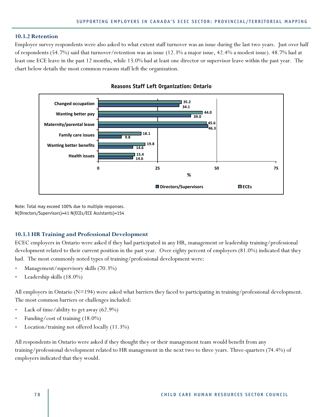#### **10.3.2 Retention**

Employer survey respondents were also asked to what extent staff turnover was an issue during the last two years. Just over half of respondents (54.7%) said that turnover/retention was an issue (12.3% a major issue, 42.4% a modest issue). 48.7% had at least one ECE leave in the past 12 months, while 13.0% had at least one director or supervisor leave within the past year. The chart below details the most common reasons staff left the organization.





Note: Total may exceed 100% due to multiple responses. N(Directors/Supervisors)=41 N(ECEs/ECE Assistants)=154

#### **10.3.3 HR Training and Professional Development**

ECEC employers in Ontario were asked if they had participated in any HR, management or leadership training/professional development related to their current position in the past year. Over eighty percent of employers (81.0%) indicated that they had. The most commonly noted types of training/professional development were:

- Management/supervisory skills (70.3%)
- Leadership skills (18.0%)

All employers in Ontario (N=194) were asked what barriers they faced to participating in training/professional development. The most common barriers or challenges included:

- Lack of time/ability to get away (62.9%)
- Funding/cost of training (18.0%)
- Location/training not offered locally (11.3%)

All respondents in Ontario were asked if they thought they or their management team would benefit from any training/professional development related to HR management in the next two to three years. Three-quarters (74.4%) of employers indicated that they would.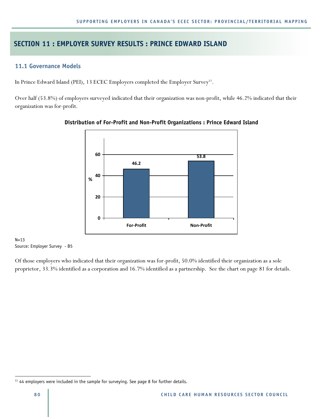## **SECTION 11 : EMPLOYER SURVEY RESULTS : PRINCE EDWARD ISLAND**

## **11.1 Governance Models**

In Prince Edward Island (PEI), 13 ECEC Employers completed the Employer Survey<sup>11</sup>.

Over half (53.8%) of employers surveyed indicated that their organization was non-profit, while 46.2% indicated that their organization was for-profit.



**Distribution of For-Profit and Non-Profit Organizations : Prince Edward Island** 

 $N=13$ Source: Employer Survey - B5

Of those employers who indicated that their organization was for-profit, 50.0% identified their organization as a sole proprietor, 33.3% identified as a corporation and 16.7% identified as a partnership. See the chart on page 81 for details.

 $\overline{a}$ 

<sup>&</sup>lt;sup>11</sup> 44 employers were included in the sample for surveying. See page 8 for further details.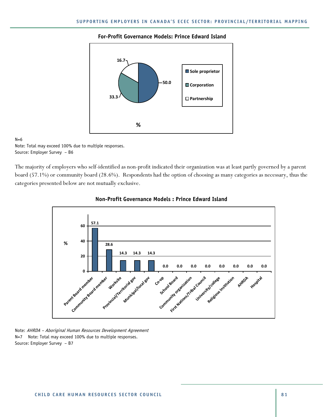#### **For-Profit Governance Models: Prince Edward Island**



#### $N=6$

Note: Total may exceed 100% due to multiple responses. Source: Employer Survey – B6

The majority of employers who self-identified as non-profit indicated their organization was at least partly governed by a parent board (57.1%) or community board (28.6%). Respondents had the option of choosing as many categories as necessary, thus the categories presented below are not mutually exclusive.





Note: AHRDA – Aboriginal Human Resources Development Agreement N=7 Note: Total may exceed 100% due to multiple responses. Source: Employer Survey – B7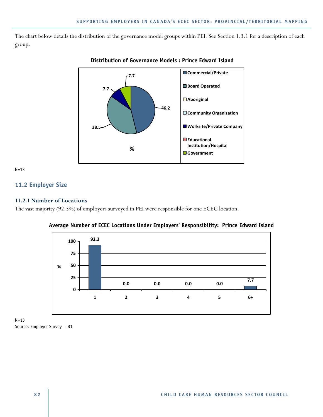The chart below details the distribution of the governance model groups within PEI. See Section 1.3.1 for a description of each group.



## **Distribution of Governance Models : Prince Edward Island**

N=13

## **11.2 Employer Size**

### **11.2.1 Number of Locations**

The vast majority (92.3%) of employers surveyed in PEI were responsible for one ECEC location.



**Average Number of ECEC Locations Under Employers' Responsibility: Prince Edward Island** 

N=13 Source: Employer Survey - B1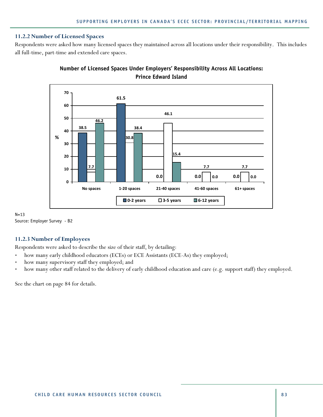### **11.2.2 Number of Licensed Spaces**

Respondents were asked how many licensed spaces they maintained across all locations under their responsibility. This includes all full-time, part-time and extended care spaces.



## **Number of Licensed Spaces Under Employers' Responsibility Across All Locations: Prince Edward Island**

N=13 Source: Employer Survey - B2

## **11.2.3 Number of Employees**

Respondents were asked to describe the size of their staff, by detailing:

- how many early childhood educators (ECEs) or ECE Assistants (ECE-As) they employed;
- how many supervisory staff they employed; and
- how many other staff related to the delivery of early childhood education and care (e.g. support staff) they employed.

See the chart on page 84 for details.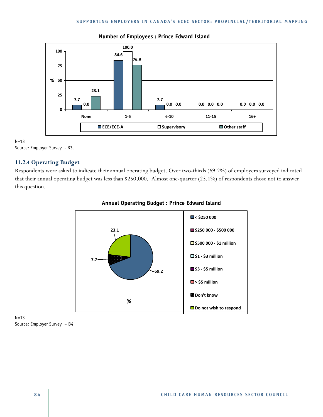

#### **Number of Employees : Prince Edward Island**

N=13 Source: Employer Survey - B3.

#### **11.2.4 Operating Budget**

Respondents were asked to indicate their annual operating budget. Over two-thirds (69.2%) of employers surveyed indicated that their annual operating budget was less than \$250,000. Almost one-quarter (23.1%) of respondents chose not to answer this question.



#### **Annual Operating Budget : Prince Edward Island**

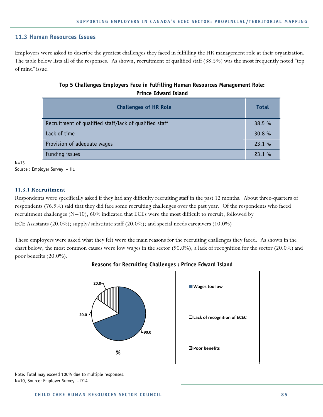#### **11.3 Human Resources Issues**

Employers were asked to describe the greatest challenges they faced in fulfilling the HR management role at their organization. The table below lists all of the responses. As shown, recruitment of qualified staff (38.5%) was the most frequently noted "top of mind" issue.

## **Top 5 Challenges Employers Face in Fulfilling Human Resources Management Role: Prince Edward Island**

| <b>Challenges of HR Role</b>                           | <b>Total</b> |
|--------------------------------------------------------|--------------|
| Recruitment of qualified staff/lack of qualified staff | 38.5%        |
| Lack of time                                           | 30.8 %       |
| Provision of adequate wages                            | 23.1%        |
| Funding issues                                         | 23.1%        |

N=13

Source : Employer Survey – H1

#### **11.3.1 Recruitment**

Respondents were specifically asked if they had any difficulty recruiting staff in the past 12 months. About three-quarters of respondents (76.9%) said that they did face some recruiting challenges over the past year. Of the respondents who faced recruitment challenges (N=10), 60% indicated that ECEs were the most difficult to recruit, followed by

ECE Assistants (20.0%); supply/substitute staff (20.0%); and special needs caregivers (10.0%)

These employers were asked what they felt were the main reasons for the recruiting challenges they faced. As shown in the chart below, the most common causes were low wages in the sector (90.0%), a lack of recognition for the sector (20.0%) and poor benefits (20.0%).



### **Reasons for Recruiting Challenges : Prince Edward Island**

Note: Total may exceed 100% due to multiple responses. N=10, Source: Employer Survey - D14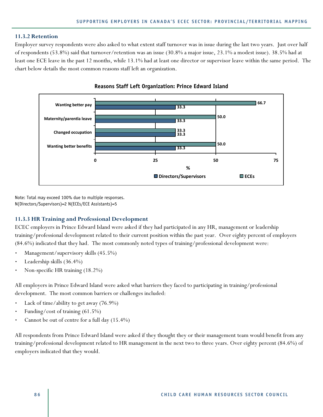#### **11.3.2 Retention**

Employer survey respondents were also asked to what extent staff turnover was in issue during the last two years. Just over half of respondents (53.8%) said that turnover/retention was an issue (30.8% a major issue, 23.1% a modest issue). 38.5% had at least one ECE leave in the past 12 months, while 13.1% had at least one director or supervisor leave within the same period. The chart below details the most common reasons staff left an organization.



**Reasons Staff Left Organization: Prince Edward Island** 

Note: Total may exceed 100% due to multiple responses. N(Directors/Supervisors)=2 N(ECEs/ECE Assistants)=5

#### **11.3.3 HR Training and Professional Development**

ECEC employers in Prince Edward Island were asked if they had participated in any HR, management or leadership training/professional development related to their current position within the past year. Over eighty percent of employers (84.6%) indicated that they had. The most commonly noted types of training/professional development were:

- Management/supervisory skills (45.5%)
- Leadership skills (36.4%)
- Non-specific HR training (18.2%)

All employers in Prince Edward Island were asked what barriers they faced to participating in training/professional development. The most common barriers or challenges included:

- Lack of time/ability to get away (76.9%)
- Funding/cost of training (61.5%)
- Cannot be out of centre for a full day (15.4%)

All respondents from Prince Edward Island were asked if they thought they or their management team would benefit from any training/professional development related to HR management in the next two to three years. Over eighty percent (84.6%) of employers indicated that they would.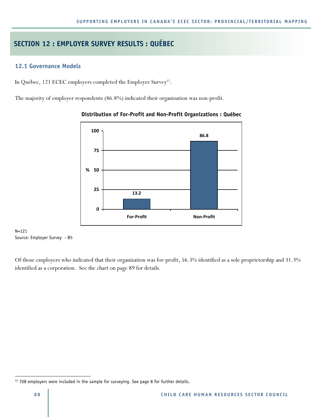# **SECTION 12 : EMPLOYER SURVEY RESULTS : QUÉBEC**

## **12.1 Governance Models**

In Québec, 121 ECEC employers completed the Employer Survey<sup>12</sup>.

The majority of employer respondents (86.8%) indicated their organization was non-profit.



### **Distribution of For-Profit and Non-Profit Organizations : Québec**

N=121 Source: Employer Survey - B5

Of those employers who indicated that their organization was for-profit, 56.3% identified as a sole proprietorship and 31.3% identified as a corporation. See the chart on page 89 for details.

 $\overline{a}$ 

 $12$  708 employers were included in the sample for surveying. See page 8 for further details.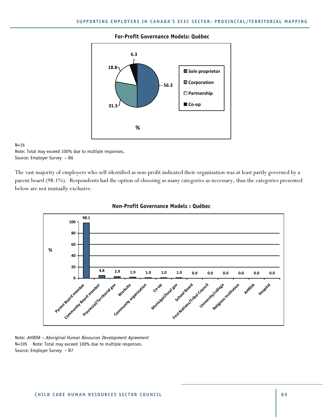#### **For-Profit Governance Models: Québec**



#### N=16

Note: Total may exceed 100% due to multiple responses. Source: Employer Survey – B6

The vast majority of employers who self-identified as non-profit indicated their organization was at least partly governed by a parent board (98.1%). Respondents had the option of choosing as many categories as necessary, thus the categories presented below are not mutually exclusive.





Note: AHRDA – Aboriginal Human Resources Development Agreement N=105 Note: Total may exceed 100% due to multiple responses. Source: Employer Survey – B7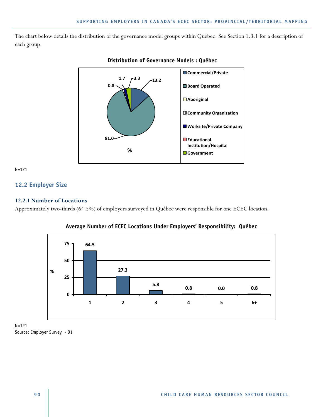The chart below details the distribution of the governance model groups within Québec. See Section 1.3.1 for a description of each group.



### **Distribution of Governance Models : Québec**

N=121

## **12.2 Employer Size**

### **12.2.1 Number of Locations**

Approximately two-thirds (64.5%) of employers surveyed in Québec were responsible for one ECEC location.



**Average Number of ECEC Locations Under Employers' Responsibility: Québec** 

N=121 Source: Employer Survey - B1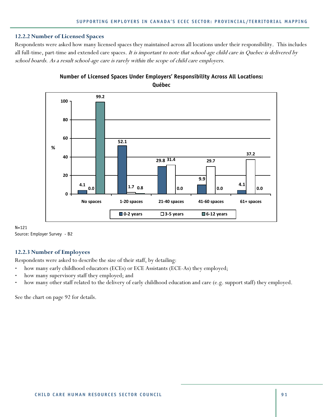#### **12.2.2 Number of Licensed Spaces**

Respondents were asked how many licensed spaces they maintained across all locations under their responsibility. This includes all full-time, part-time and extended care spaces. It is important to note that school-age child care in Quebec is delivered by school boards. As a result school-age care is rarely within the scope of child care employers.



## **Number of Licensed Spaces Under Employers' Responsibility Across All Locations: Québec**

N=121 Source: Employer Survey - B2

### **12.2.3 Number of Employees**

Respondents were asked to describe the size of their staff, by detailing:

- how many early childhood educators (ECEs) or ECE Assistants (ECE-As) they employed;
- how many supervisory staff they employed; and
- how many other staff related to the delivery of early childhood education and care (e.g. support staff) they employed.

See the chart on page 92 for details.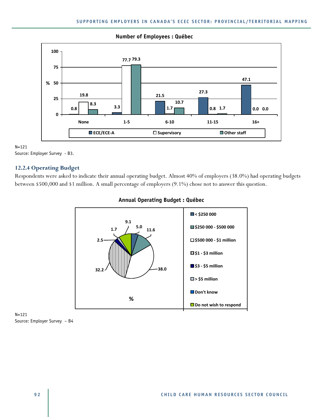

**Number of Employees : Québec** 

N=121 Source: Employer Survey - B3.

## **12.2.4 Operating Budget**

Respondents were asked to indicate their annual operating budget. Almost 40% of employers (38.0%) had operating budgets between \$500,000 and \$1 million. A small percentage of employers (9.1%) chose not to answer this question.



## **Annual Operating Budget : Québec**

N=121 Source: Employer Survey – B4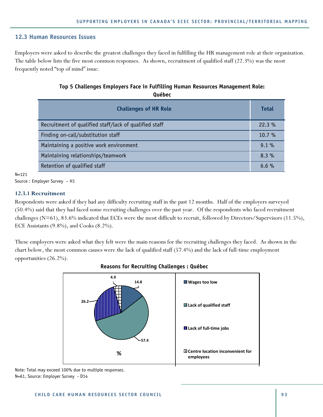## **12.3 Human Resources Issues**

Employers were asked to describe the greatest challenges they faced in fulfilling the HR management role at their organization. The table below lists the five most common responses. As shown, recruitment of qualified staff (22.3%) was the most frequently noted "top of mind" issue.

## **Top 5 Challenges Employers Face in Fulfilling Human Resources Management Role: Québec**

| <b>Challenges of HR Role</b>                           | <b>Total</b> |
|--------------------------------------------------------|--------------|
| Recruitment of qualified staff/lack of qualified staff | 22.3%        |
| Finding on-call/substitution staff                     | $10.7 \%$    |
| Maintaining a positive work environment                | $9.1\%$      |
| Maintaining relationships/teamwork                     | $8.3\%$      |
| Retention of qualified staff                           | $6.6\%$      |

N=121

Source : Employer Survey – H1

### **12.3.1 Recruitment**

Respondents were asked if they had any difficulty recruiting staff in the past 12 months. Half of the employers surveyed (50.4%) said that they had faced some recruiting challenges over the past year. Of the respondents who faced recruitment challenges (N=61), 83.6% indicated that ECEs were the most difficult to recruit, followed by Directors/Supervisors (11.5%), ECE Assistants (9.8%), and Cooks (8.2%).

These employers were asked what they felt were the main reasons for the recruiting challenges they faced. As shown in the chart below, the most common causes were the lack of qualified staff (57.4%) and the lack of full-time employment opportunities (26.2%).



### **Reasons for Recruiting Challenges : Québec**

Note: Total may exceed 100% due to multiple responses. N=61, Source: Employer Survey - D14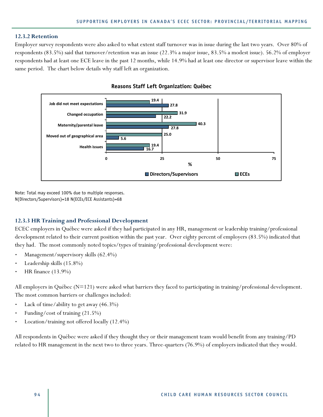#### **12.3.2 Retention**

Employer survey respondents were also asked to what extent staff turnover was in issue during the last two years. Over 80% of respondents (83.5%) said that turnover/retention was an issue (22.3% a major issue, 83.5% a modest issue). 56.2% of employer respondents had at least one ECE leave in the past 12 months, while 14.9% had at least one director or supervisor leave within the same period. The chart below details why staff left an organization.





Note: Total may exceed 100% due to multiple responses. N(Directors/Supervisors)=18 N(ECEs/ECE Assistants)=68

#### **12.3.3 HR Training and Professional Development**

ECEC employers in Québec were asked if they had participated in any HR, management or leadership training/professional development related to their current position within the past year. Over eighty percent of employers (83.5%) indicated that they had. The most commonly noted topics/types of training/professional development were:

- Management/supervisory skills (62.4%)
- Leadership skills (15.8%)
- HR finance (13.9%)

All employers in Québec (N=121) were asked what barriers they faced to participating in training/professional development. The most common barriers or challenges included:

- Lack of time/ability to get away (46.3%)
- Funding/cost of training (21.5%)
- Location/training not offered locally (12.4%)

All respondents in Québec were asked if they thought they or their management team would benefit from any training/PD related to HR management in the next two to three years. Three-quarters (76.9%) of employers indicated that they would.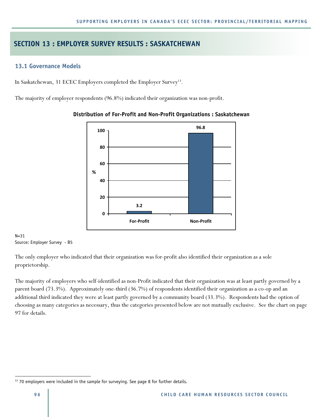## **SECTION 13 : EMPLOYER SURVEY RESULTS : SASKATCHEWAN**

## **13.1 Governance Models**

In Saskatchewan, 31 ECEC Employers completed the Employer Survey<sup>13</sup> .

The majority of employer respondents (96.8%) indicated their organization was non-profit.



### **Distribution of For-Profit and Non-Profit Organizations : Saskatchewan**

 $N = 31$ Source: Employer Survey - B5

The only employer who indicated that their organization was for-profit also identified their organization as a sole proprietorship.

The majority of employers who self-identified as non-Profit indicated that their organization was at least partly governed by a parent board (73.3%). Approximately one-third (36.7%) of respondents identified their organization as a co-op and an additional third indicated they were at least partly governed by a community board (33.3%). Respondents had the option of choosing as many categories as necessary, thus the categories presented below are not mutually exclusive. See the chart on page 97 for details.

 $\overline{a}$ 

<sup>&</sup>lt;sup>13</sup> 70 employers were included in the sample for surveying. See page 8 for further details.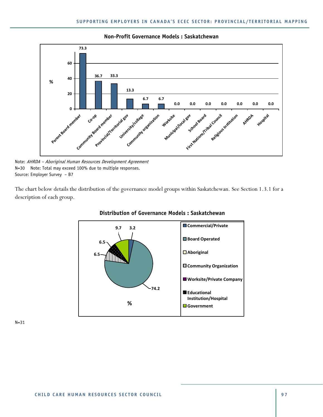

#### **Non-Profit Governance Models : Saskatchewan**

Note: AHRDA – Aboriginal Human Resources Development Agreement N=30 Note: Total may exceed 100% due to multiple responses. Source: Employer Survey – B7

The chart below details the distribution of the governance model groups within Saskatchewan. See Section 1.3.1 for a description of each group.





N=31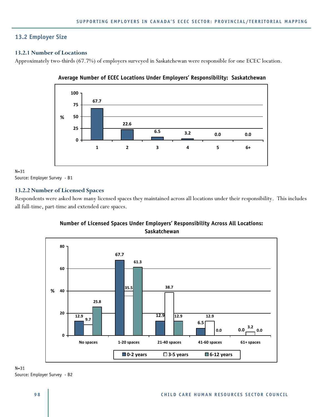## **13.2 Employer Size**

## **13.2.1 Number of Locations**

Approximately two-thirds (67.7%) of employers surveyed in Saskatchewan were responsible for one ECEC location.





 $N=31$ Source: Employer Survey - B1

## **13.2.2 Number of Licensed Spaces**

Respondents were asked how many licensed spaces they maintained across all locations under their responsibility. This includes all full-time, part-time and extended care spaces.



## **Number of Licensed Spaces Under Employers' Responsibility Across All Locations: Saskatchewan**

N=31 Source: Employer Survey - B2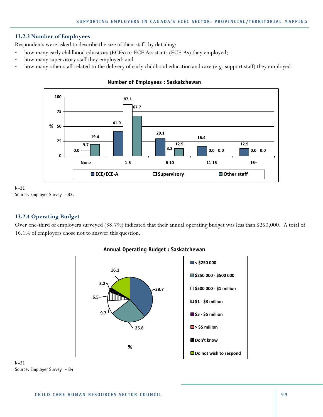### **13.2.3 Number of Employees**

Respondents were asked to describe the size of their staff, by detailing:

- how many early childhood educators (ECEs) or ECE Assistants (ECE-As) they employed;
- how many supervisory staff they employed; and
- how many other staff related to the delivery of early childhood education and care (e.g. support staff) they employed.



#### **Number of Employees : Saskatchewan**

N=31 Source: Employer Survey - B3.

### **13.2.4 Operating Budget**

Over one-third of employers surveyed (38.7%) indicated that their annual operating budget was less than \$250,000. A total of 16.1% of employers chose not to answer this question.



#### **Annual Operating Budget : Saskatchewan**

N=31 Source: Employer Survey – B4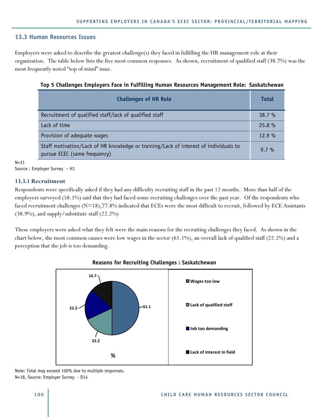#### **13.3 Human Resources Issues**

Employers were asked to describe the greatest challenge(s) they faced in fulfilling the HR management role at their organization. The table below lists the five most common responses. As shown, recruitment of qualified staff (38.7%) was the most frequently noted "top of mind" issue.

| <b>Challenges of HR Role</b>                                                                                         | <b>Total</b> |
|----------------------------------------------------------------------------------------------------------------------|--------------|
| Recruitment of qualified staff/lack of qualified staff                                                               | 38.7%        |
| Lack of time                                                                                                         | 25.8%        |
| Provision of adequate wages                                                                                          | 12.9%        |
| Staff motivation/Lack of HR knowledge or training/Lack of interest of individuals to<br>pursue ECEC (same frequency) | $9.7 \%$     |

**Top 5 Challenges Employers Face in Fulfilling Human Resources Management Role: Saskatchewan** 

 $N = 31$ 

Source : Employer Survey – H1

#### **13.3.1 Recruitment**

Respondents were specifically asked if they had any difficulty recruiting staff in the past 12 months. More than half of the employers surveyed (58.1%) said that they had faced some recruiting challenges over the past year. Of the respondents who faced recruitment challenges (N=18),77.8% indicated that ECEs were the most difficult to recruit, followed by ECE Assistants (38.9%), and supply/substitute staff (22.2%)

These employers were asked what they felt were the main reasons for the recruiting challenges they faced. As shown in the chart below, the most common causes were low wages in the sector (61.1%), an overall lack of qualified staff (22.2%) and a perception that the job is too demanding.



#### **Reasons for Recruiting Challenges : Saskatchewan**

Note: Total may exceed 100% due to multiple responses. N=18, Source: Employer Survey - D14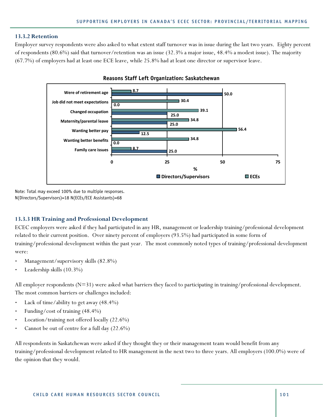#### **13.3.2 Retention**

Employer survey respondents were also asked to what extent staff turnover was in issue during the last two years. Eighty percent of respondents (80.6%) said that turnover/retention was an issue (32.3% a major issue, 48.4% a modest issue). The majority (67.7%) of employers had at least one ECE leave, while 25.8% had at least one director or supervisor leave.



**Reasons Staff Left Organization: Saskatchewan**

Note: Total may exceed 100% due to multiple responses. N(Directors/Supervisors)=18 N(ECEs/ECE Assistants)=68

#### **13.3.3 HR Training and Professional Development**

ECEC employers were asked if they had participated in any HR, management or leadership training/professional development related to their current position. Over ninety percent of employers (93.5%) had participated in some form of training/professional development within the past year. The most commonly noted types of training/professional development were:

- Management/supervisory skills (82.8%)
- Leadership skills (10.3%)

All employer respondents (N=31) were asked what barriers they faced to participating in training/professional development. The most common barriers or challenges included:

- Lack of time/ability to get away (48.4%)
- Funding/cost of training (48.4%)
- Location/training not offered locally (22.6%)
- Cannot be out of centre for a full day (22.6%)

All respondents in Saskatchewan were asked if they thought they or their management team would benefit from any training/professional development related to HR management in the next two to three years. All employers (100.0%) were of the opinion that they would.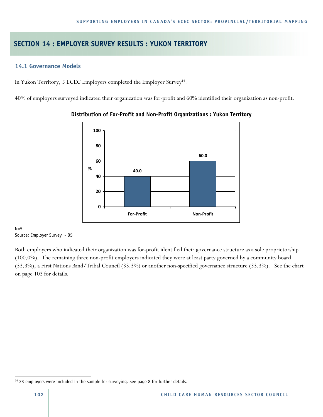## **SECTION 14 : EMPLOYER SURVEY RESULTS : YUKON TERRITORY**

## **14.1 Governance Models**

In Yukon Territory, 5 ECEC Employers completed the Employer Survey<sup>14</sup>.

40% of employers surveyed indicated their organization was for-profit and 60% identified their organization as non-profit.



## **Distribution of For-Profit and Non-Profit Organizations : Yukon Territory**

#### $N=5$ Source: Employer Survey - B5

Both employers who indicated their organization was for-profit identified their governance structure as a sole proprietorship (100.0%). The remaining three non-profit employers indicated they were at least party governed by a community board (33.3%), a First Nations Band/Tribal Council (33.3%) or another non-specified governance structure (33.3%). See the chart on page 103 for details.

 $\overline{a}$ 

<sup>&</sup>lt;sup>14</sup> 23 employers were included in the sample for surveying. See page 8 for further details.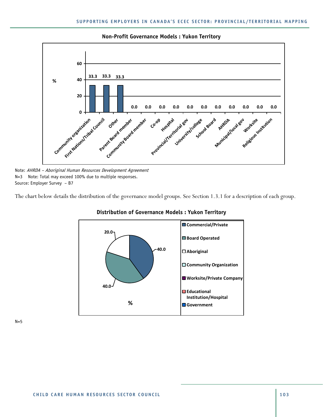

**Non-Profit Governance Models : Yukon Territory** 

Note: AHRDA – Aboriginal Human Resources Development Agreement N=3 Note: Total may exceed 100% due to multiple responses. Source: Employer Survey – B7

The chart below details the distribution of the governance model groups. See Section 1.3.1 for a description of each group.



#### **Distribution of Governance Models : Yukon Territory**

 $N=5$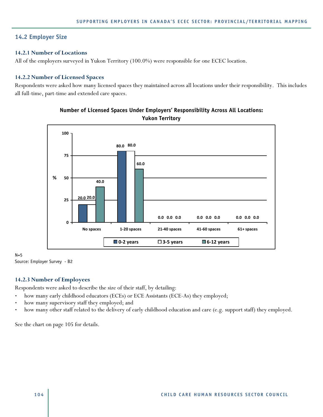## **14.2 Employer Size**

## **14.2.1 Number of Locations**

All of the employers surveyed in Yukon Territory (100.0%) were responsible for one ECEC location.

## **14.2.2 Number of Licensed Spaces**

Respondents were asked how many licensed spaces they maintained across all locations under their responsibility. This includes all full-time, part-time and extended care spaces.



## **Number of Licensed Spaces Under Employers' Responsibility Across All Locations: Yukon Territory**

#### $N=5$ Source: Employer Survey - B2

## **14.2.3 Number of Employees**

Respondents were asked to describe the size of their staff, by detailing:

- how many early childhood educators (ECEs) or ECE Assistants (ECE-As) they employed;
- how many supervisory staff they employed; and
- how many other staff related to the delivery of early childhood education and care (e.g. support staff) they employed.

See the chart on page 105 for details.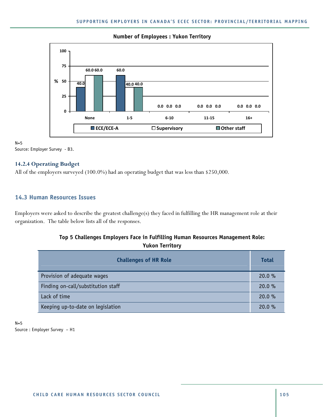

### **Number of Employees : Yukon Territory**

 $N=5$ Source: Employer Survey - B3.

## **14.2.4 Operating Budget**

All of the employers surveyed (100.0%) had an operating budget that was less than \$250,000.

## **14.3 Human Resources Issues**

Employers were asked to describe the greatest challenge(s) they faced in fulfilling the HR management role at their organization. The table below lists all of the responses.

## **Top 5 Challenges Employers Face in Fulfilling Human Resources Management Role: Yukon Territory**

| <b>Challenges of HR Role</b>       | <b>Total</b> |
|------------------------------------|--------------|
| Provision of adequate wages        | 20.0%        |
| Finding on-call/substitution staff | 20.0 %       |
| Lack of time                       | 20.0 %       |
| Keeping up-to-date on legislation  | 20.0 %       |

 $N=5$ Source : Employer Survey – H1